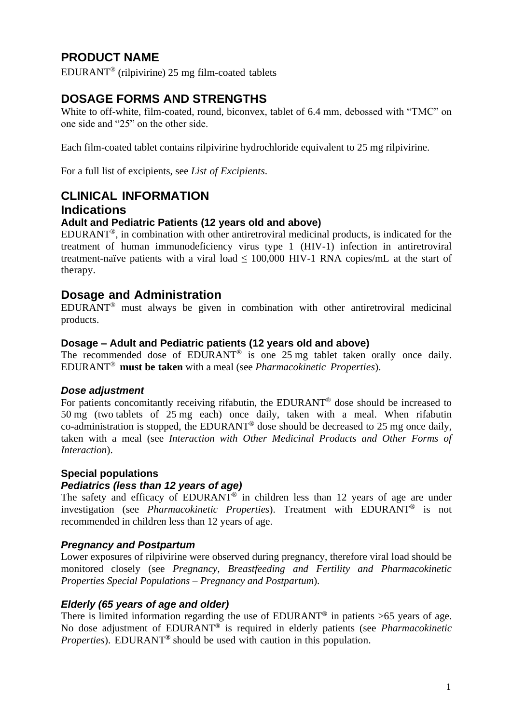# **PRODUCT NAME**

EDURANT® (rilpivirine) 25 mg film-coated tablets

# **DOSAGE FORMS AND STRENGTHS**

White to off-white, film-coated, round, biconvex, tablet of 6.4 mm, debossed with "TMC" on one side and "25" on the other side.

Each film-coated tablet contains rilpivirine hydrochloride equivalent to 25 mg rilpivirine.

For a full list of excipients, see *List of Excipients*.

# **CLINICAL INFORMATION**

#### **Indications**

#### **Adult and Pediatric Patients (12 years old and above)**

EDURANT®, in combination with other antiretroviral medicinal products, is indicated for the treatment of human immunodeficiency virus type 1 (HIV-1) infection in antiretroviral treatment-naïve patients with a viral load  $\leq 100,000$  HIV-1 RNA copies/mL at the start of therapy.

# **Dosage and Administration**

EDURANT® must always be given in combination with other antiretroviral medicinal products.

#### **Dosage – Adult and Pediatric patients (12 years old and above)**

The recommended dose of EDURANT<sup>®</sup> is one 25 mg tablet taken orally once daily. EDURANT® **must be taken** with a meal (see *Pharmacokinetic Properties*).

#### *Dose adjustment*

For patients concomitantly receiving rifabutin, the EDURANT® dose should be increased to 50 mg (two tablets of 25 mg each) once daily, taken with a meal. When rifabutin co-administration is stopped, the EDURANT® dose should be decreased to 25 mg once daily, taken with a meal (see *Interaction with Other Medicinal Products and Other Forms of Interaction*).

#### **Special populations**

#### *Pediatrics (less than 12 years of age)*

The safety and efficacy of EDURANT<sup>®</sup> in children less than 12 years of age are under investigation (see *Pharmacokinetic Properties*). Treatment with EDURANT® is not recommended in children less than 12 years of age.

#### *Pregnancy and Postpartum*

Lower exposures of rilpivirine were observed during pregnancy, therefore viral load should be monitored closely (see *Pregnancy, Breastfeeding and Fertility and Pharmacokinetic Properties Special Populations – Pregnancy and Postpartum*).

#### *Elderly (65 years of age and older)*

There is limited information regarding the use of EDURANT**®** in patients >65 years of age. No dose adjustment of EDURANT**®** is required in elderly patients (see *Pharmacokinetic Properties*). EDURANT**®** should be used with caution in this population.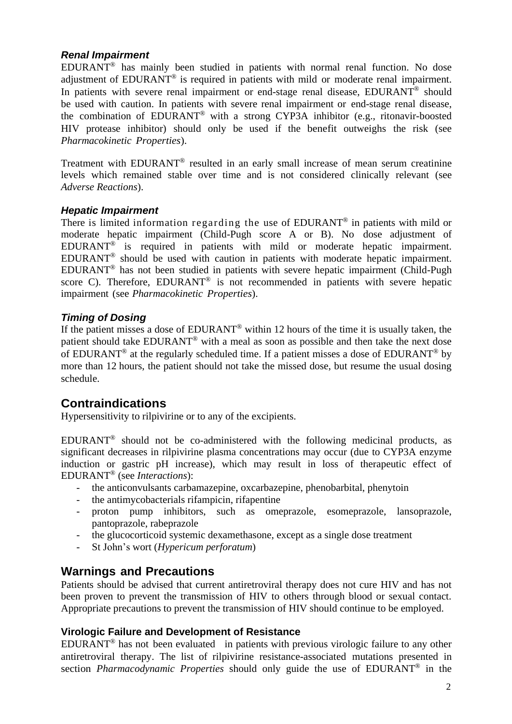#### *Renal Impairment*

EDURANT® has mainly been studied in patients with normal renal function. No dose adjustment of EDURANT® is required in patients with mild or moderate renal impairment. In patients with severe renal impairment or end-stage renal disease, EDURANT<sup>®</sup> should be used with caution. In patients with severe renal impairment or end-stage renal disease, the combination of EDURANT® with a strong CYP3A inhibitor (e.g., ritonavir-boosted HIV protease inhibitor) should only be used if the benefit outweighs the risk (see *Pharmacokinetic Properties*).

Treatment with EDURANT<sup>®</sup> resulted in an early small increase of mean serum creatinine levels which remained stable over time and is not considered clinically relevant (see *Adverse Reactions*).

#### *Hepatic Impairment*

There is limited information regarding the use of EDURANT® in patients with mild or moderate hepatic impairment (Child-Pugh score A or B). No dose adjustment of EDURANT® is required in patients with mild or moderate hepatic impairment. EDURANT ® should be used with caution in patients with moderate hepatic impairment. EDURANT® has not been studied in patients with severe hepatic impairment (Child-Pugh score C). Therefore,  $EDURANT^®$  is not recommended in patients with severe hepatic impairment (see *Pharmacokinetic Properties*).

#### *Timing of Dosing*

If the patient misses a dose of EDURANT® within 12 hours of the time it is usually taken, the patient should take EDURANT® with a meal as soon as possible and then take the next dose of EDURANT® at the regularly scheduled time. If a patient misses a dose of EDURANT® by more than 12 hours, the patient should not take the missed dose, but resume the usual dosing schedule.

# **Contraindications**

Hypersensitivity to rilpivirine or to any of the excipients.

EDURANT® should not be co-administered with the following medicinal products, as significant decreases in rilpivirine plasma concentrations may occur (due to CYP3A enzyme induction or gastric pH increase), which may result in loss of therapeutic effect of EDURANT® (see *Interactions*):

- the anticonvulsants carbamazepine, oxcarbazepine, phenobarbital, phenytoin
- the antimycobacterials rifampicin, rifapentine
- proton pump inhibitors, such as omeprazole, esomeprazole, lansoprazole, pantoprazole, rabeprazole
- the glucocorticoid systemic dexamethasone, except as a single dose treatment
- St John's wort (*Hypericum perforatum*)

#### **Warnings and Precautions**

Patients should be advised that current antiretroviral therapy does not cure HIV and has not been proven to prevent the transmission of HIV to others through blood or sexual contact. Appropriate precautions to prevent the transmission of HIV should continue to be employed.

#### **Virologic Failure and Development of Resistance**

EDURANT® has not been evaluated in patients with previous virologic failure to any other antiretroviral therapy. The list of rilpivirine resistance-associated mutations presented in section *Pharmacodynamic Properties* should only guide the use of EDURANT® in the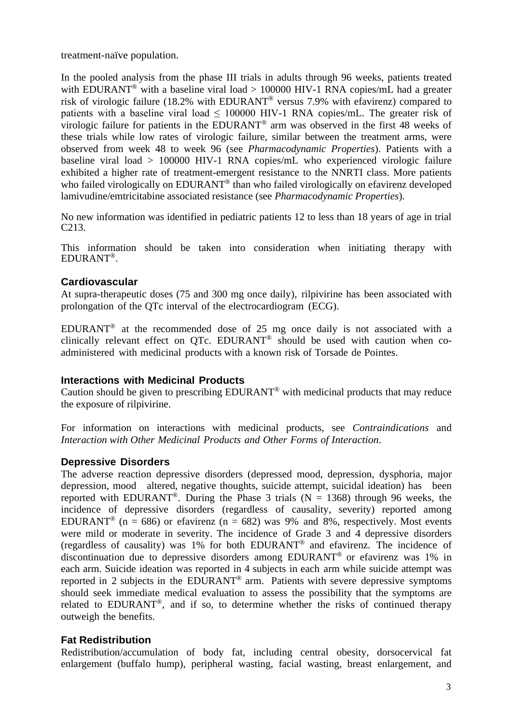treatment-naïve population.

In the pooled analysis from the phase III trials in adults through 96 weeks, patients treated with EDURANT<sup>®</sup> with a baseline viral load > 100000 HIV-1 RNA copies/mL had a greater risk of virologic failure (18.2% with EDURANT® versus 7.9% with efavirenz) compared to patients with a baseline viral load < 100000 HIV-1 RNA copies/mL. The greater risk of virologic failure for patients in the EDURANT® arm was observed in the first 48 weeks of these trials while low rates of virologic failure, similar between the treatment arms, were observed from week 48 to week 96 (see *Pharmacodynamic Properties*). Patients with a baseline viral load > 100000 HIV-1 RNA copies/mL who experienced virologic failure exhibited a higher rate of treatment-emergent resistance to the NNRTI class. More patients who failed virologically on EDURANT<sup>®</sup> than who failed virologically on efavirenz developed lamivudine/emtricitabine associated resistance (see *Pharmacodynamic Properties*).

No new information was identified in pediatric patients 12 to less than 18 years of age in trial C213.

This information should be taken into consideration when initiating therapy with EDURANT®.

#### **Cardiovascular**

At supra-therapeutic doses (75 and 300 mg once daily), rilpivirine has been associated with prolongation of the QTc interval of the electrocardiogram (ECG).

EDURANT® at the recommended dose of 25 mg once daily is not associated with a clinically relevant effect on QTc. EDURANT ® should be used with caution when coadministered with medicinal products with a known risk of Torsade de Pointes.

#### **Interactions with Medicinal Products**

Caution should be given to prescribing EDURANT® with medicinal products that may reduce the exposure of rilpivirine.

For information on interactions with medicinal products, see *Contraindications* and *Interaction with Other Medicinal Products and Other Forms of Interaction*.

#### **Depressive Disorders**

The adverse reaction depressive disorders (depressed mood, depression, dysphoria, major depression, mood altered, negative thoughts, suicide attempt, suicidal ideation) has been reported with EDURANT<sup>®</sup>. During the Phase 3 trials (N = 1368) through 96 weeks, the incidence of depressive disorders (regardless of causality, severity) reported among EDURANT<sup>®</sup> (n = 686) or efavirenz (n = 682) was 9% and 8%, respectively. Most events were mild or moderate in severity. The incidence of Grade 3 and 4 depressive disorders (regardless of causality) was 1% for both EDURANT® and efavirenz. The incidence of discontinuation due to depressive disorders among EDURANT® or efavirenz was 1% in each arm. Suicide ideation was reported in 4 subjects in each arm while suicide attempt was reported in 2 subjects in the EDURANT® arm. Patients with severe depressive symptoms should seek immediate medical evaluation to assess the possibility that the symptoms are related to EDURANT®, and if so, to determine whether the risks of continued therapy outweigh the benefits.

#### **Fat Redistribution**

Redistribution/accumulation of body fat, including central obesity, dorsocervical fat enlargement (buffalo hump), peripheral wasting, facial wasting, breast enlargement, and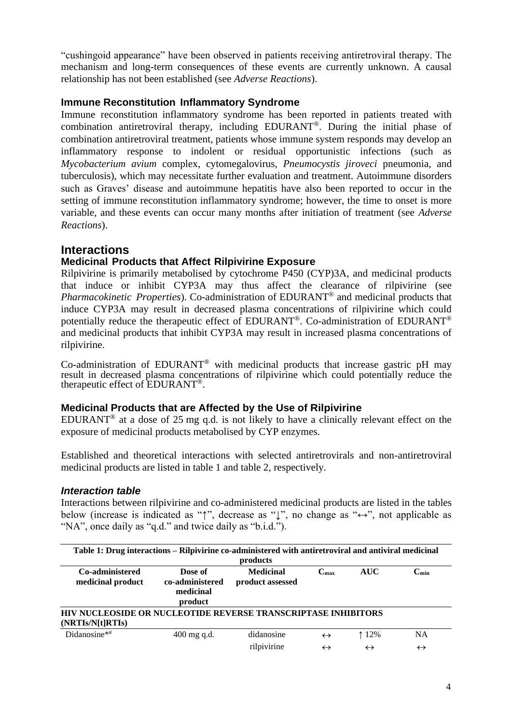"cushingoid appearance" have been observed in patients receiving antiretroviral therapy. The mechanism and long-term consequences of these events are currently unknown. A causal relationship has not been established (see *Adverse Reactions*).

#### **Immune Reconstitution Inflammatory Syndrome**

Immune reconstitution inflammatory syndrome has been reported in patients treated with combination antiretroviral therapy, including EDURANT®. During the initial phase of combination antiretroviral treatment, patients whose immune system responds may develop an inflammatory response to indolent or residual opportunistic infections (such as *Mycobacterium avium* complex, cytomegalovirus, *Pneumocystis jiroveci* pneumonia, and tuberculosis), which may necessitate further evaluation and treatment. Autoimmune disorders such as Graves' disease and autoimmune hepatitis have also been reported to occur in the setting of immune reconstitution inflammatory syndrome; however, the time to onset is more variable, and these events can occur many months after initiation of treatment (see *Adverse Reactions*).

#### **Interactions**

#### **Medicinal Products that Affect Rilpivirine Exposure**

Rilpivirine is primarily metabolised by cytochrome P450 (CYP)3A, and medicinal products that induce or inhibit CYP3A may thus affect the clearance of rilpivirine (see *Pharmacokinetic Properties*). Co-administration of EDURANT® and medicinal products that induce CYP3A may result in decreased plasma concentrations of rilpivirine which could potentially reduce the therapeutic effect of EDURANT®. Co-administration of EDURANT® and medicinal products that inhibit CYP3A may result in increased plasma concentrations of rilpivirine.

Co-administration of EDURANT® with medicinal products that increase gastric pH may result in decreased plasma concentrations of rilpivirine which could potentially reduce the therapeutic effect of EDURANT®.

#### **Medicinal Products that are Affected by the Use of Rilpivirine**

EDURANT<sup>®</sup> at a dose of 25 mg q.d. is not likely to have a clinically relevant effect on the exposure of medicinal products metabolised by CYP enzymes.

Established and theoretical interactions with selected antiretrovirals and non-antiretroviral medicinal products are listed in table 1 and table 2, respectively.

#### *Interaction table*

Interactions between rilpivirine and co-administered medicinal products are listed in the tables below (increase is indicated as "↑", decrease as "↓", no change as "↔", not applicable as "NA", once daily as "q.d." and twice daily as "b.i.d.").

| Table 1: Drug interactions – Rilpivirine co-administered with antiretroviral and antiviral medicinal<br>products |                                                    |                                      |                     |                   |                             |  |
|------------------------------------------------------------------------------------------------------------------|----------------------------------------------------|--------------------------------------|---------------------|-------------------|-----------------------------|--|
| Co-administered<br>medicinal product                                                                             | Dose of<br>co-administered<br>medicinal<br>product | <b>Medicinal</b><br>product assessed | $\mathbf{C}_{\max}$ | <b>AUC</b>        | $\mathbb{C}_{\mathbf{min}}$ |  |
| <b>HIV NUCLEOSIDE OR NUCLEOTIDE REVERSE TRANSCRIPTASE INHIBITORS</b><br>(NRTIs/N[t]RTIs)                         |                                                    |                                      |                     |                   |                             |  |
| Didanosine $**$                                                                                                  | $400$ mg q.d.                                      | didanosine                           | $\leftrightarrow$   | $12\%$            | <b>NA</b>                   |  |
|                                                                                                                  |                                                    | rilpivirine                          | $\leftrightarrow$   | $\leftrightarrow$ | $\leftrightarrow$           |  |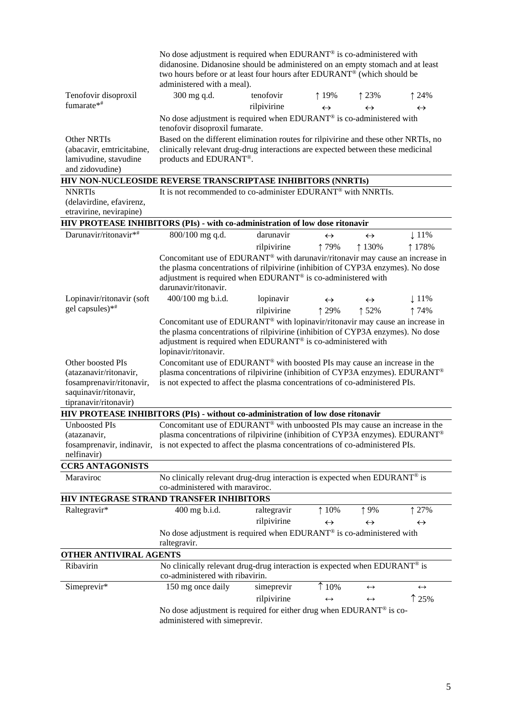|                                                                                                                      | No dose adjustment is required when EDURANT <sup>®</sup> is co-administered with<br>didanosine. Didanosine should be administered on an empty stomach and at least<br>two hours before or at least four hours after EDURANT® (which should be<br>administered with a meal).                                                                                                                                                       |             |                   |                   |                   |
|----------------------------------------------------------------------------------------------------------------------|-----------------------------------------------------------------------------------------------------------------------------------------------------------------------------------------------------------------------------------------------------------------------------------------------------------------------------------------------------------------------------------------------------------------------------------|-------------|-------------------|-------------------|-------------------|
| Tenofovir disoproxil                                                                                                 | 300 mg q.d.                                                                                                                                                                                                                                                                                                                                                                                                                       | tenofovir   | ↑ 19%             | 123%              | $\uparrow$ 24%    |
| fumarate*#                                                                                                           |                                                                                                                                                                                                                                                                                                                                                                                                                                   | rilpivirine | $\leftrightarrow$ | $\leftrightarrow$ | $\leftrightarrow$ |
|                                                                                                                      | No dose adjustment is required when EDURANT® is co-administered with                                                                                                                                                                                                                                                                                                                                                              |             |                   |                   |                   |
|                                                                                                                      | tenofovir disoproxil fumarate.                                                                                                                                                                                                                                                                                                                                                                                                    |             |                   |                   |                   |
| Other NRTIs                                                                                                          | Based on the different elimination routes for rilpivirine and these other NRTIs, no                                                                                                                                                                                                                                                                                                                                               |             |                   |                   |                   |
| (abacavir, emtricitabine,                                                                                            | clinically relevant drug-drug interactions are expected between these medicinal                                                                                                                                                                                                                                                                                                                                                   |             |                   |                   |                   |
| lamivudine, stavudine<br>and zidovudine)                                                                             | products and EDURANT®.                                                                                                                                                                                                                                                                                                                                                                                                            |             |                   |                   |                   |
| HIV NON-NUCLEOSIDE REVERSE TRANSCRIPTASE INHIBITORS (NNRTIs)                                                         |                                                                                                                                                                                                                                                                                                                                                                                                                                   |             |                   |                   |                   |
| <b>NNRTIs</b>                                                                                                        | It is not recommended to co-administer EDURANT® with NNRTIs.                                                                                                                                                                                                                                                                                                                                                                      |             |                   |                   |                   |
| (delavirdine, efavirenz,                                                                                             |                                                                                                                                                                                                                                                                                                                                                                                                                                   |             |                   |                   |                   |
| etravirine, nevirapine)                                                                                              |                                                                                                                                                                                                                                                                                                                                                                                                                                   |             |                   |                   |                   |
| HIV PROTEASE INHIBITORS (PIs) - with co-administration of low dose ritonavir                                         |                                                                                                                                                                                                                                                                                                                                                                                                                                   |             |                   |                   |                   |
| Darunavir/ritonavir*#                                                                                                | 800/100 mg q.d.                                                                                                                                                                                                                                                                                                                                                                                                                   | darunavir   | $\leftrightarrow$ | $\leftrightarrow$ | $\downarrow$ 11%  |
|                                                                                                                      |                                                                                                                                                                                                                                                                                                                                                                                                                                   | rilpivirine | ↑79%              | ↑130%             | ↑ 178%            |
|                                                                                                                      | Concomitant use of EDURANT <sup>®</sup> with darunavir/ritonavir may cause an increase in<br>the plasma concentrations of rilpivirine (inhibition of CYP3A enzymes). No dose<br>adjustment is required when EDURANT <sup>®</sup> is co-administered with<br>darunavir/ritonavir.                                                                                                                                                  |             |                   |                   |                   |
| Lopinavir/ritonavir (soft                                                                                            | 400/100 mg b.i.d.                                                                                                                                                                                                                                                                                                                                                                                                                 | lopinavir   | $\leftrightarrow$ | $\leftrightarrow$ | $\downarrow$ 11%  |
| gel capsules)*#                                                                                                      |                                                                                                                                                                                                                                                                                                                                                                                                                                   | rilpivirine | ↑ 29%             | ↑ 52%             | ↑74%              |
| Other boosted PIs<br>(atazanavir/ritonavir,                                                                          | Concomitant use of EDURANT® with lopinavir/ritonavir may cause an increase in<br>the plasma concentrations of rilpivirine (inhibition of CYP3A enzymes). No dose<br>adjustment is required when EDURANT® is co-administered with<br>lopinavir/ritonavir.<br>Concomitant use of EDURANT <sup>®</sup> with boosted PIs may cause an increase in the<br>plasma concentrations of rilpivirine (inhibition of CYP3A enzymes). EDURANT® |             |                   |                   |                   |
| fosamprenavir/ritonavir,<br>saquinavir/ritonavir,<br>tipranavir/ritonavir)                                           | is not expected to affect the plasma concentrations of co-administered PIs.                                                                                                                                                                                                                                                                                                                                                       |             |                   |                   |                   |
| HIV PROTEASE INHIBITORS (PIs) - without co-administration of low dose ritonavir                                      |                                                                                                                                                                                                                                                                                                                                                                                                                                   |             |                   |                   |                   |
| Unboosted PIs                                                                                                        | Concomitant use of EDURANT <sup>®</sup> with unboosted PIs may cause an increase in the                                                                                                                                                                                                                                                                                                                                           |             |                   |                   |                   |
| (atazanavir,                                                                                                         | plasma concentrations of rilpivirine (inhibition of CYP3A enzymes). EDURANT®                                                                                                                                                                                                                                                                                                                                                      |             |                   |                   |                   |
| fosamprenavir, indinavir, is not expected to affect the plasma concentrations of co-administered PIs.<br>nelfinavir) |                                                                                                                                                                                                                                                                                                                                                                                                                                   |             |                   |                   |                   |
| <b>CCR5 ANTAGONISTS</b>                                                                                              |                                                                                                                                                                                                                                                                                                                                                                                                                                   |             |                   |                   |                   |
| Maraviroc                                                                                                            | No clinically relevant drug-drug interaction is expected when EDURANT <sup>®</sup> is                                                                                                                                                                                                                                                                                                                                             |             |                   |                   |                   |
|                                                                                                                      | co-administered with maraviroc.                                                                                                                                                                                                                                                                                                                                                                                                   |             |                   |                   |                   |
| HIV INTEGRASE STRAND TRANSFER INHIBITORS<br>Raltegravir*                                                             | 400 mg b.i.d.                                                                                                                                                                                                                                                                                                                                                                                                                     | raltegravir | $\uparrow$ 10%    | ↑9%               | ↑ 27%             |
|                                                                                                                      |                                                                                                                                                                                                                                                                                                                                                                                                                                   | rilpivirine | $\leftrightarrow$ | $\leftrightarrow$ | $\leftrightarrow$ |
|                                                                                                                      | No dose adjustment is required when EDURANT® is co-administered with<br>raltegravir.                                                                                                                                                                                                                                                                                                                                              |             |                   |                   |                   |
| OTHER ANTIVIRAL AGENTS                                                                                               |                                                                                                                                                                                                                                                                                                                                                                                                                                   |             |                   |                   |                   |
| Ribavirin                                                                                                            | No clinically relevant drug-drug interaction is expected when EDURANT® is<br>co-administered with ribavirin.                                                                                                                                                                                                                                                                                                                      |             |                   |                   |                   |
| Simeprevir*                                                                                                          | 150 mg once daily                                                                                                                                                                                                                                                                                                                                                                                                                 | simeprevir  | $\uparrow$ 10%    | $\leftrightarrow$ | $\leftrightarrow$ |
|                                                                                                                      |                                                                                                                                                                                                                                                                                                                                                                                                                                   | rilpivirine | $\leftrightarrow$ | $\leftrightarrow$ | 125%              |
|                                                                                                                      | No dose adjustment is required for either drug when EDURANT <sup>®</sup> is co-<br>administered with simeprevir.                                                                                                                                                                                                                                                                                                                  |             |                   |                   |                   |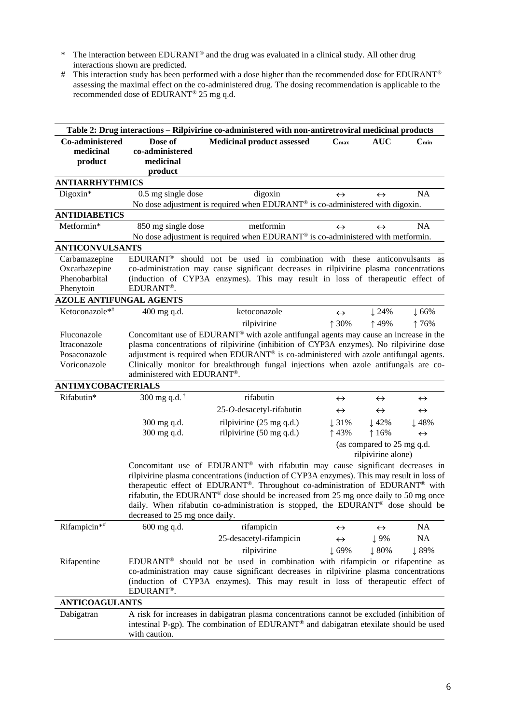- \* The interaction between EDURANT® and the drug was evaluated in a clinical study. All other drug interactions shown are predicted.
- # This interaction study has been performed with a dose higher than the recommended dose for EDURANT® assessing the maximal effect on the co-administered drug. The dosing recommendation is applicable to the recommended dose of EDURANT® 25 mg q.d.

|                                                                                                |                                                    | Table 2: Drug interactions – Rilpivirine co-administered with non-antiretroviral medicinal products                                                                                                                                                                                                                                                                                                                                                 |                            |                                                  |                                       |
|------------------------------------------------------------------------------------------------|----------------------------------------------------|-----------------------------------------------------------------------------------------------------------------------------------------------------------------------------------------------------------------------------------------------------------------------------------------------------------------------------------------------------------------------------------------------------------------------------------------------------|----------------------------|--------------------------------------------------|---------------------------------------|
| Co-administered<br>medicinal<br>product                                                        | Dose of<br>co-administered<br>medicinal<br>product | <b>Medicinal product assessed</b>                                                                                                                                                                                                                                                                                                                                                                                                                   | $C_{\rm max}$              | <b>AUC</b>                                       | $C_{min}$                             |
| <b>ANTIARRHYTHMICS</b>                                                                         |                                                    |                                                                                                                                                                                                                                                                                                                                                                                                                                                     |                            |                                                  |                                       |
| Digoxin*                                                                                       | 0.5 mg single dose                                 | digoxin<br>No dose adjustment is required when EDURANT <sup>®</sup> is co-administered with digoxin.                                                                                                                                                                                                                                                                                                                                                | $\leftrightarrow$          | $\leftrightarrow$                                | <b>NA</b>                             |
| <b>ANTIDIABETICS</b>                                                                           |                                                    |                                                                                                                                                                                                                                                                                                                                                                                                                                                     |                            |                                                  |                                       |
| Metformin*                                                                                     | 850 mg single dose                                 | metformin<br>No dose adjustment is required when EDURANT® is co-administered with metformin.                                                                                                                                                                                                                                                                                                                                                        | $\leftrightarrow$          | $\leftrightarrow$                                | NA                                    |
| <b>ANTICONVULSANTS</b>                                                                         |                                                    |                                                                                                                                                                                                                                                                                                                                                                                                                                                     |                            |                                                  |                                       |
| Carbamazepine<br>Oxcarbazepine<br>Phenobarbital<br>Phenytoin<br><b>AZOLE ANTIFUNGAL AGENTS</b> | <b>EDURANT®</b><br>EDURANT <sup>®</sup> .          | should not be used in combination with these anticonvulsants as<br>co-administration may cause significant decreases in rilpivirine plasma concentrations<br>(induction of CYP3A enzymes). This may result in loss of therapeutic effect of                                                                                                                                                                                                         |                            |                                                  |                                       |
|                                                                                                |                                                    |                                                                                                                                                                                                                                                                                                                                                                                                                                                     |                            |                                                  |                                       |
| Ketoconazole*#                                                                                 | 400 mg q.d.                                        | ketoconazole                                                                                                                                                                                                                                                                                                                                                                                                                                        | $\leftrightarrow$<br>↑ 30% | $\downarrow$ 24%                                 | $\downarrow$ 66%                      |
| Fluconazole<br>Itraconazole<br>Posaconazole<br>Voriconazole<br><b>ANTIMYCOBACTERIALS</b>       | administered with EDURANT®.                        | rilpivirine<br>Concomitant use of EDURANT <sup>®</sup> with azole antifungal agents may cause an increase in the<br>plasma concentrations of rilpivirine (inhibition of CYP3A enzymes). No rilpivirine dose<br>adjustment is required when EDURANT <sup>®</sup> is co-administered with azole antifungal agents.<br>Clinically monitor for breakthrough fungal injections when azole antifungals are co-                                            |                            | ↑49%                                             | ↑76%                                  |
| Rifabutin*                                                                                     | 300 mg q.d. $\dagger$                              | rifabutin                                                                                                                                                                                                                                                                                                                                                                                                                                           |                            |                                                  |                                       |
|                                                                                                |                                                    |                                                                                                                                                                                                                                                                                                                                                                                                                                                     | $\leftrightarrow$          | $\leftrightarrow$                                | $\leftrightarrow$                     |
|                                                                                                |                                                    | 25-O-desacetyl-rifabutin                                                                                                                                                                                                                                                                                                                                                                                                                            | $\leftrightarrow$          | $\leftrightarrow$                                | $\leftrightarrow$                     |
|                                                                                                | 300 mg q.d.<br>300 mg q.d.                         | ril pivirine $(25 \text{ mg } q.d.)$<br>rilpivirine (50 mg q.d.)                                                                                                                                                                                                                                                                                                                                                                                    | $\downarrow$ 31%<br>↑43%   | $\downarrow$ 42%<br>16%                          | $\downarrow$ 48%<br>$\leftrightarrow$ |
|                                                                                                |                                                    |                                                                                                                                                                                                                                                                                                                                                                                                                                                     |                            | (as compared to 25 mg q.d.<br>rilpivirine alone) |                                       |
|                                                                                                | decreased to 25 mg once daily.                     | Concomitant use of EDURANT® with rifabutin may cause significant decreases in<br>rilpivirine plasma concentrations (induction of CYP3A enzymes). This may result in loss of<br>therapeutic effect of EDURANT®. Throughout co-administration of EDURANT® with<br>rifabutin, the EDURANT <sup>®</sup> dose should be increased from 25 mg once daily to 50 mg once<br>daily. When rifabutin co-administration is stopped, the EDURANT® dose should be |                            |                                                  |                                       |
| Rifampicin*#                                                                                   | 600 mg q.d.                                        | rifampicin                                                                                                                                                                                                                                                                                                                                                                                                                                          | $\leftrightarrow$          | $\leftrightarrow$                                | <b>NA</b>                             |
|                                                                                                |                                                    | 25-desacetyl-rifampicin                                                                                                                                                                                                                                                                                                                                                                                                                             | $\leftrightarrow$          | $\downarrow$ 9%                                  | <b>NA</b>                             |
|                                                                                                |                                                    | rilpivirine                                                                                                                                                                                                                                                                                                                                                                                                                                         | $\downarrow$ 69%           | $\downarrow 80\%$                                | ↓89%                                  |
| Rifapentine                                                                                    | EDURANT <sup>®</sup> .                             | EDURANT <sup>®</sup> should not be used in combination with rifampicin or rifapentine as<br>co-administration may cause significant decreases in rilpivirine plasma concentrations<br>(induction of CYP3A enzymes). This may result in loss of therapeutic effect of                                                                                                                                                                                |                            |                                                  |                                       |
| <b>ANTICOAGULANTS</b>                                                                          |                                                    |                                                                                                                                                                                                                                                                                                                                                                                                                                                     |                            |                                                  |                                       |
| Dabigatran                                                                                     | with caution.                                      | A risk for increases in dabigatran plasma concentrations cannot be excluded (inhibition of<br>intestinal P-gp). The combination of EDURANT® and dabigatran etexilate should be used                                                                                                                                                                                                                                                                 |                            |                                                  |                                       |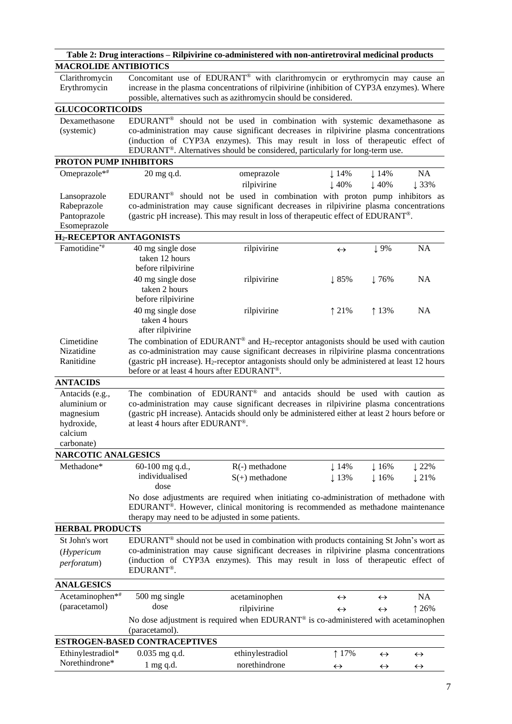|                                           |                                               | Table 2: Drug interactions – Rilpivirine co-administered with non-antiretroviral medicinal products                                                                                                       |                   |                   |                   |
|-------------------------------------------|-----------------------------------------------|-----------------------------------------------------------------------------------------------------------------------------------------------------------------------------------------------------------|-------------------|-------------------|-------------------|
| <b>MACROLIDE ANTIBIOTICS</b>              |                                               |                                                                                                                                                                                                           |                   |                   |                   |
| Clarithromycin                            |                                               | Concomitant use of EDURANT® with clarithromycin or erythromycin may cause an                                                                                                                              |                   |                   |                   |
| Erythromycin                              |                                               | increase in the plasma concentrations of rilpivirine (inhibition of CYP3A enzymes). Where                                                                                                                 |                   |                   |                   |
|                                           |                                               | possible, alternatives such as azithromycin should be considered.                                                                                                                                         |                   |                   |                   |
| <b>GLUCOCORTICOIDS</b>                    |                                               |                                                                                                                                                                                                           |                   |                   |                   |
| Dexamethasone                             |                                               | EDURANT <sup>®</sup> should not be used in combination with systemic dexamethasone as                                                                                                                     |                   |                   |                   |
| (systemic)                                |                                               | co-administration may cause significant decreases in rilpivirine plasma concentrations                                                                                                                    |                   |                   |                   |
|                                           |                                               | (induction of CYP3A enzymes). This may result in loss of therapeutic effect of<br>EDURANT <sup>®</sup> . Alternatives should be considered, particularly for long-term use.                               |                   |                   |                   |
| PROTON PUMP INHIBITORS                    |                                               |                                                                                                                                                                                                           |                   |                   |                   |
| Omeprazole*#                              | 20 mg q.d.                                    | omeprazole                                                                                                                                                                                                | $\downarrow$ 14%  | $\downarrow$ 14%  | NA                |
|                                           |                                               | rilpivirine                                                                                                                                                                                               | $\downarrow$ 40%  | $\downarrow$ 40%  | $\downarrow$ 33%  |
| Lansoprazole                              |                                               | EDURANT <sup>®</sup> should not be used in combination with proton pump inhibitors as                                                                                                                     |                   |                   |                   |
| Rabeprazole                               |                                               | co-administration may cause significant decreases in rilpivirine plasma concentrations                                                                                                                    |                   |                   |                   |
| Pantoprazole                              |                                               | (gastric pH increase). This may result in loss of therapeutic effect of EDURANT®.                                                                                                                         |                   |                   |                   |
| Esomeprazole                              |                                               |                                                                                                                                                                                                           |                   |                   |                   |
| <b>H<sub>2</sub>-RECEPTOR ANTAGONISTS</b> |                                               |                                                                                                                                                                                                           |                   |                   |                   |
| Famotidine*#                              | 40 mg single dose                             | rilpivirine                                                                                                                                                                                               | $\leftrightarrow$ | $\downarrow$ 9%   | <b>NA</b>         |
|                                           | taken 12 hours                                |                                                                                                                                                                                                           |                   |                   |                   |
|                                           | before rilpivirine                            |                                                                                                                                                                                                           |                   |                   |                   |
|                                           | 40 mg single dose                             | rilpivirine                                                                                                                                                                                               | $\downarrow 85\%$ | $\downarrow$ 76%  | <b>NA</b>         |
|                                           | taken 2 hours                                 |                                                                                                                                                                                                           |                   |                   |                   |
|                                           | before rilpivirine                            |                                                                                                                                                                                                           |                   |                   |                   |
|                                           | 40 mg single dose                             | rilpivirine                                                                                                                                                                                               | $\uparrow$ 21%    | $\uparrow$ 13%    | <b>NA</b>         |
|                                           | taken 4 hours                                 |                                                                                                                                                                                                           |                   |                   |                   |
|                                           | after rilpivirine                             |                                                                                                                                                                                                           |                   |                   |                   |
| Cimetidine<br>Nizatidine                  |                                               | The combination of EDURANT <sup>®</sup> and H <sub>2</sub> -receptor antagonists should be used with caution<br>as co-administration may cause significant decreases in rilpivirine plasma concentrations |                   |                   |                   |
| Ranitidine                                |                                               | (gastric pH increase). $H_2$ -receptor antagonists should only be administered at least 12 hours                                                                                                          |                   |                   |                   |
|                                           | before or at least 4 hours after EDURANT®.    |                                                                                                                                                                                                           |                   |                   |                   |
| <b>ANTACIDS</b>                           |                                               |                                                                                                                                                                                                           |                   |                   |                   |
| Antacids (e.g.,                           | The combination of EDURANT®                   | and antacids should be used with caution as                                                                                                                                                               |                   |                   |                   |
| aluminium or                              |                                               | co-administration may cause significant decreases in rilpivirine plasma concentrations                                                                                                                    |                   |                   |                   |
| magnesium                                 |                                               | (gastric pH increase). Antacids should only be administered either at least 2 hours before or                                                                                                             |                   |                   |                   |
| hydroxide,                                | at least 4 hours after EDURANT <sup>®</sup> . |                                                                                                                                                                                                           |                   |                   |                   |
| calcium                                   |                                               |                                                                                                                                                                                                           |                   |                   |                   |
| carbonate)                                |                                               |                                                                                                                                                                                                           |                   |                   |                   |
| <b>NARCOTIC ANALGESICS</b>                |                                               |                                                                                                                                                                                                           |                   |                   |                   |
| Methadone*                                | 60-100 mg q.d.,                               | $R(-)$ methadone                                                                                                                                                                                          | $\downarrow$ 14%  | $\downarrow$ 16%  | $\downarrow$ 22%  |
|                                           | individualised                                | $S(+)$ methadone                                                                                                                                                                                          | ↓13%              | $\downarrow$ 16%  | $\downarrow$ 21%  |
|                                           | dose                                          |                                                                                                                                                                                                           |                   |                   |                   |
|                                           |                                               | No dose adjustments are required when initiating co-administration of methadone with                                                                                                                      |                   |                   |                   |
|                                           |                                               | EDURANT®. However, clinical monitoring is recommended as methadone maintenance<br>therapy may need to be adjusted in some patients.                                                                       |                   |                   |                   |
| <b>HERBAL PRODUCTS</b>                    |                                               |                                                                                                                                                                                                           |                   |                   |                   |
|                                           |                                               |                                                                                                                                                                                                           |                   |                   |                   |
| St John's wort                            |                                               | EDURANT <sup>®</sup> should not be used in combination with products containing St John's wort as<br>co-administration may cause significant decreases in rilpivirine plasma concentrations               |                   |                   |                   |
| (Hypericum                                |                                               | (induction of CYP3A enzymes). This may result in loss of therapeutic effect of                                                                                                                            |                   |                   |                   |
| perforatum)                               | EDURANT <sup>®</sup> .                        |                                                                                                                                                                                                           |                   |                   |                   |
| <b>ANALGESICS</b>                         |                                               |                                                                                                                                                                                                           |                   |                   |                   |
| Acetaminophen*#                           | 500 mg single                                 | acetaminophen                                                                                                                                                                                             | $\leftrightarrow$ | $\leftrightarrow$ | NA                |
| (paracetamol)                             | dose                                          | rilpivirine                                                                                                                                                                                               | $\leftrightarrow$ | $\leftrightarrow$ | $\uparrow$ 26%    |
|                                           |                                               | No dose adjustment is required when EDURANT® is co-administered with acetaminophen                                                                                                                        |                   |                   |                   |
|                                           | (paracetamol).                                |                                                                                                                                                                                                           |                   |                   |                   |
|                                           | <b>ESTROGEN-BASED CONTRACEPTIVES</b>          |                                                                                                                                                                                                           |                   |                   |                   |
| Ethinylestradiol*                         | $0.035$ mg q.d.                               | ethinylestradiol                                                                                                                                                                                          | ↑ 17%             | $\leftrightarrow$ | $\leftrightarrow$ |
| Norethindrone*                            | $1$ mg q.d.                                   | norethindrone                                                                                                                                                                                             | $\leftrightarrow$ | $\leftrightarrow$ | $\leftrightarrow$ |
|                                           |                                               |                                                                                                                                                                                                           |                   |                   |                   |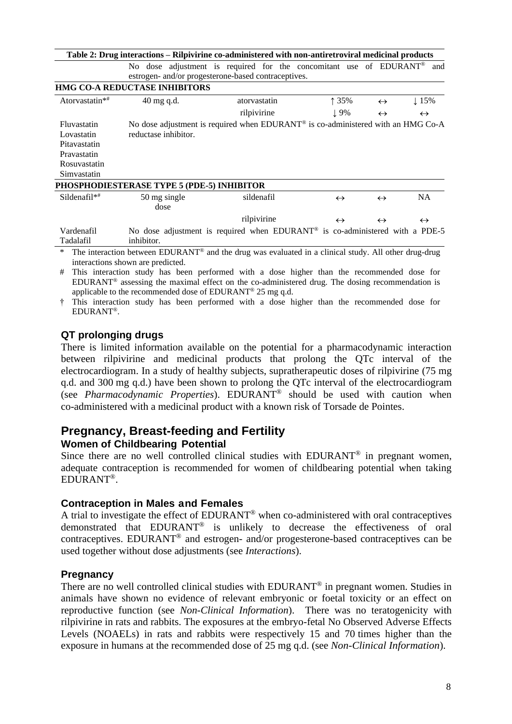|                                                                                         | Table 2: Drug interactions – Rilpivirine co-administered with non-antiretroviral medicinal products |                                                                                                                           |                                                                                                                                                                                                                               |                   |                   |
|-----------------------------------------------------------------------------------------|-----------------------------------------------------------------------------------------------------|---------------------------------------------------------------------------------------------------------------------------|-------------------------------------------------------------------------------------------------------------------------------------------------------------------------------------------------------------------------------|-------------------|-------------------|
|                                                                                         |                                                                                                     | No dose adjustment is required for the concomitant use of EDURANT®<br>estrogen- and/or progesterone-based contraceptives. |                                                                                                                                                                                                                               |                   | and               |
|                                                                                         | HMG CO-A REDUCTASE INHIBITORS                                                                       |                                                                                                                           |                                                                                                                                                                                                                               |                   |                   |
| Atorvastatin*#                                                                          | $40 \text{ mg }$ q.d.                                                                               | atorvastatin                                                                                                              | ↑ 35%                                                                                                                                                                                                                         | $\leftrightarrow$ | $\downarrow$ 15%  |
|                                                                                         |                                                                                                     | rilpivirine                                                                                                               | $\perp$ 9%                                                                                                                                                                                                                    | $\leftrightarrow$ | $\leftrightarrow$ |
| Fluvastatin<br>Lovastatin<br>Pitavastatin<br>Pravastatin<br>Rosuvastatin<br>Simvastatin | reductase inhibitor.                                                                                | No dose adjustment is required when EDURANT <sup>®</sup> is co-administered with an HMG Co-A                              |                                                                                                                                                                                                                               |                   |                   |
|                                                                                         | PHOSPHODIESTERASE TYPE 5 (PDE-5) INHIBITOR                                                          |                                                                                                                           |                                                                                                                                                                                                                               |                   |                   |
| $Sildenafil**$                                                                          | 50 mg single<br>dose                                                                                | sildenafil                                                                                                                | $\leftrightarrow$                                                                                                                                                                                                             | $\leftrightarrow$ | NA.               |
|                                                                                         |                                                                                                     | rilpivirine                                                                                                               | $\leftrightarrow$                                                                                                                                                                                                             | $\leftrightarrow$ | $\leftrightarrow$ |
| Vardenafil<br>Tadalafil                                                                 | inhibitor.                                                                                          | No dose adjustment is required when EDURANT <sup>®</sup> is co-administered with a PDE-5<br>$\sim$ $\sim$ $\sim$ $\sim$   | . The state of the state of the state of the state of the state of the state of the state of the state of the state of the state of the state of the state of the state of the state of the state of the state of the state o |                   |                   |

The interaction between EDURANT<sup>®</sup> and the drug was evaluated in a clinical study. All other drug-drug interactions shown are predicted.

# This interaction study has been performed with a dose higher than the recommended dose for EDURANT<sup>®</sup> assessing the maximal effect on the co-administered drug. The dosing recommendation is applicable to the recommended dose of EDURANT® 25 mg q.d.

† This interaction study has been performed with a dose higher than the recommended dose for EDURANT®.

#### **QT prolonging drugs**

There is limited information available on the potential for a pharmacodynamic interaction between rilpivirine and medicinal products that prolong the QTc interval of the electrocardiogram. In a study of healthy subjects, supratherapeutic doses of rilpivirine (75 mg q.d. and 300 mg q.d.) have been shown to prolong the QTc interval of the electrocardiogram (see *Pharmacodynamic Properties*). EDURANT® should be used with caution when co-administered with a medicinal product with a known risk of Torsade de Pointes.

# **Pregnancy, Breast-feeding and Fertility**

#### **Women of Childbearing Potential**

Since there are no well controlled clinical studies with EDURANT<sup>®</sup> in pregnant women, adequate contraception is recommended for women of childbearing potential when taking EDURANT®.

#### **Contraception in Males and Females**

A trial to investigate the effect of EDURANT® when co-administered with oral contraceptives demonstrated that EDURANT® is unlikely to decrease the effectiveness of oral contraceptives. EDURANT® and estrogen- and/or progesterone-based contraceptives can be used together without dose adjustments (see *Interactions*).

#### **Pregnancy**

There are no well controlled clinical studies with EDURANT<sup>®</sup> in pregnant women. Studies in animals have shown no evidence of relevant embryonic or foetal toxicity or an effect on reproductive function (see *Non-Clinical Information*). There was no teratogenicity with rilpivirine in rats and rabbits. The exposures at the embryo-fetal No Observed Adverse Effects Levels (NOAELs) in rats and rabbits were respectively 15 and 70 times higher than the exposure in humans at the recommended dose of 25 mg q.d. (see *Non-Clinical Information*).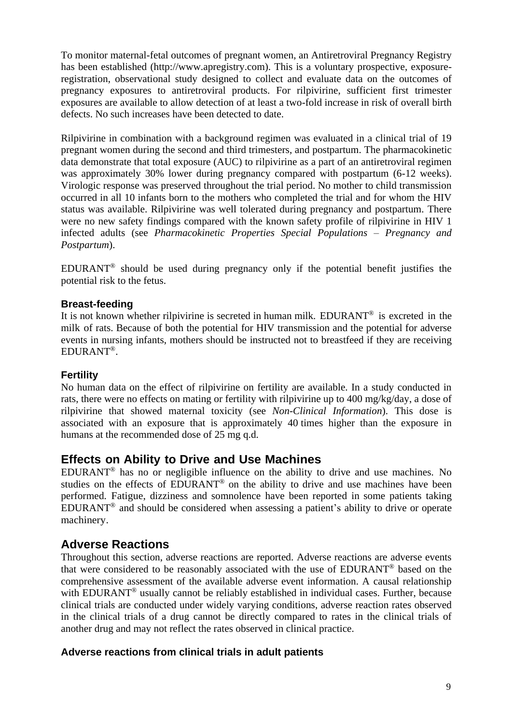To monitor maternal-fetal outcomes of pregnant women, an Antiretroviral Pregnancy Registry has been established (http://www.apregistry.com). This is a voluntary prospective, exposureregistration, observational study designed to collect and evaluate data on the outcomes of pregnancy exposures to antiretroviral products. For rilpivirine, sufficient first trimester exposures are available to allow detection of at least a two-fold increase in risk of overall birth defects. No such increases have been detected to date.

Rilpivirine in combination with a background regimen was evaluated in a clinical trial of 19 pregnant women during the second and third trimesters, and postpartum. The pharmacokinetic data demonstrate that total exposure (AUC) to rilpivirine as a part of an antiretroviral regimen was approximately 30% lower during pregnancy compared with postpartum (6-12 weeks). Virologic response was preserved throughout the trial period. No mother to child transmission occurred in all 10 infants born to the mothers who completed the trial and for whom the HIV status was available. Rilpivirine was well tolerated during pregnancy and postpartum. There were no new safety findings compared with the known safety profile of rilpivirine in HIV 1 infected adults (see *Pharmacokinetic Properties Special Populations – Pregnancy and Postpartum*).

EDURANT® should be used during pregnancy only if the potential benefit justifies the potential risk to the fetus.

#### **Breast-feeding**

It is not known whether rilpivirine is secreted in human milk. EDURANT® is excreted in the milk of rats. Because of both the potential for HIV transmission and the potential for adverse events in nursing infants, mothers should be instructed not to breastfeed if they are receiving EDURANT®.

#### **Fertility**

No human data on the effect of rilpivirine on fertility are available. In a study conducted in rats, there were no effects on mating or fertility with rilpivirine up to 400 mg/kg/day, a dose of rilpivirine that showed maternal toxicity (see *Non-Clinical Information*). This dose is associated with an exposure that is approximately 40 times higher than the exposure in humans at the recommended dose of 25 mg q.d.

## **Effects on Ability to Drive and Use Machines**

EDURANT® has no or negligible influence on the ability to drive and use machines. No studies on the effects of EDURANT<sup>®</sup> on the ability to drive and use machines have been performed. Fatigue, dizziness and somnolence have been reported in some patients taking EDURANT® and should be considered when assessing a patient's ability to drive or operate machinery.

#### **Adverse Reactions**

Throughout this section, adverse reactions are reported. Adverse reactions are adverse events that were considered to be reasonably associated with the use of EDURANT® based on the comprehensive assessment of the available adverse event information. A causal relationship with EDURANT<sup>®</sup> usually cannot be reliably established in individual cases. Further, because clinical trials are conducted under widely varying conditions, adverse reaction rates observed in the clinical trials of a drug cannot be directly compared to rates in the clinical trials of another drug and may not reflect the rates observed in clinical practice.

#### **Adverse reactions from clinical trials in adult patients**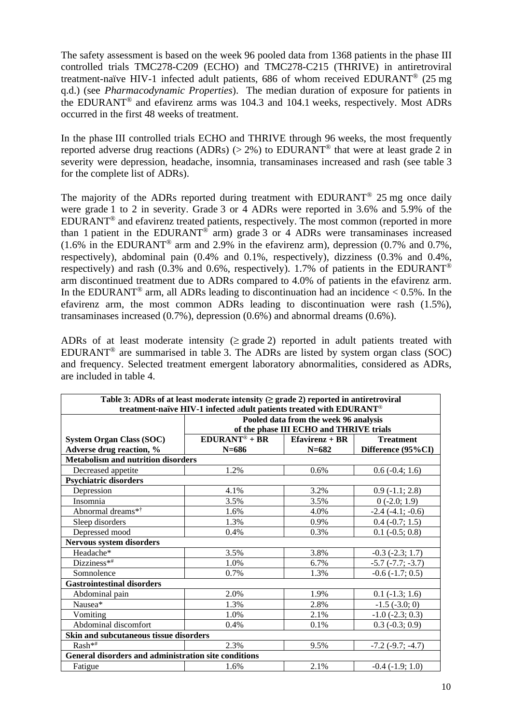The safety assessment is based on the week 96 pooled data from 1368 patients in the phase III controlled trials TMC278-C209 (ECHO) and TMC278-C215 (THRIVE) in antiretroviral treatment-naïve HIV-1 infected adult patients, 686 of whom received EDURANT® (25 mg q.d.) (see *Pharmacodynamic Properties*). The median duration of exposure for patients in the EDURANT® and efavirenz arms was 104.3 and 104.1 weeks, respectively. Most ADRs occurred in the first 48 weeks of treatment.

In the phase III controlled trials ECHO and THRIVE through 96 weeks, the most frequently reported adverse drug reactions (ADRs) ( $> 2\%$ ) to EDURANT<sup>®</sup> that were at least grade 2 in severity were depression, headache, insomnia, transaminases increased and rash (see table 3 for the complete list of ADRs).

The majority of the ADRs reported during treatment with EDURANT<sup>®</sup> 25 mg once daily were grade 1 to 2 in severity. Grade 3 or 4 ADRs were reported in 3.6% and 5.9% of the EDURANT® and efavirenz treated patients, respectively. The most common (reported in more than 1 patient in the EDURANT<sup>®</sup> arm) grade 3 or 4 ADRs were transaminases increased (1.6% in the EDURANT® arm and 2.9% in the efavirenz arm), depression (0.7% and 0.7%, respectively), abdominal pain (0.4% and 0.1%, respectively), dizziness (0.3% and 0.4%, respectively) and rash (0.3% and 0.6%, respectively). 1.7% of patients in the EDURANT<sup>®</sup> arm discontinued treatment due to ADRs compared to 4.0% of patients in the efavirenz arm. In the EDURANT<sup>®</sup> arm, all ADRs leading to discontinuation had an incidence  $< 0.5\%$ . In the efavirenz arm, the most common ADRs leading to discontinuation were rash (1.5%), transaminases increased (0.7%), depression (0.6%) and abnormal dreams (0.6%).

ADRs of at least moderate intensity ( $\geq$  grade 2) reported in adult patients treated with EDURANT<sup>®</sup> are summarised in table 3. The ADRs are listed by system organ class (SOC) and frequency. Selected treatment emergent laboratory abnormalities, considered as ADRs, are included in table 4.

| Table 3: ADRs of at least moderate intensity $(\geq)$ grade 2) reported in antiretroviral<br>treatment-naïve HIV-1 infected adult patients treated with EDURANT® |                                  |                                                                                  |                       |  |  |  |
|------------------------------------------------------------------------------------------------------------------------------------------------------------------|----------------------------------|----------------------------------------------------------------------------------|-----------------------|--|--|--|
|                                                                                                                                                                  |                                  | Pooled data from the week 96 analysis<br>of the phase III ECHO and THRIVE trials |                       |  |  |  |
| <b>System Organ Class (SOC)</b>                                                                                                                                  | $EDURANT® + BR$                  | $E$ favirenz + BR<br><b>Treatment</b>                                            |                       |  |  |  |
| Adverse drug reaction, %                                                                                                                                         | $N = 686$                        | $N = 682$                                                                        | Difference (95%CI)    |  |  |  |
| <b>Metabolism and nutrition disorders</b>                                                                                                                        |                                  |                                                                                  |                       |  |  |  |
| Decreased appetite                                                                                                                                               | 1.2%                             | 0.6%                                                                             | $0.6(-0.4; 1.6)$      |  |  |  |
| <b>Psychiatric disorders</b>                                                                                                                                     |                                  |                                                                                  |                       |  |  |  |
| Depression                                                                                                                                                       | 4.1%<br>3.2%<br>$0.9(-1.1; 2.8)$ |                                                                                  |                       |  |  |  |
| Insomnia                                                                                                                                                         | 3.5%                             | 3.5%                                                                             | $0(-2.0; 1.9)$        |  |  |  |
| Abnormal dreams* <sup>†</sup>                                                                                                                                    | 1.6%                             | 4.0%                                                                             | $-2.4$ $(-4.1; -0.6)$ |  |  |  |
| Sleep disorders                                                                                                                                                  | 1.3%                             | 0.9%                                                                             | $0.4 (-0.7; 1.5)$     |  |  |  |
| Depressed mood                                                                                                                                                   | 0.4%                             | 0.3%                                                                             | $0.1$ ( $-0.5$ ; 0.8) |  |  |  |
| <b>Nervous system disorders</b>                                                                                                                                  |                                  |                                                                                  |                       |  |  |  |
| Headache*                                                                                                                                                        | 3.5%                             | 3.8%                                                                             | $-0.3$ $(-2.3; 1.7)$  |  |  |  |
| Dizziness**                                                                                                                                                      | 1.0%                             | 6.7%                                                                             | $-5.7$ $(-7.7; -3.7)$ |  |  |  |
| Somnolence                                                                                                                                                       | 0.7%                             | 1.3%                                                                             | $-0.6$ $(-1.7; 0.5)$  |  |  |  |
| <b>Gastrointestinal disorders</b>                                                                                                                                |                                  |                                                                                  |                       |  |  |  |
| Abdominal pain                                                                                                                                                   | 2.0%                             | 1.9%                                                                             | $0.1$ ( $-1.3$ ; 1.6) |  |  |  |
| Nausea*                                                                                                                                                          | 1.3%                             | 2.8%                                                                             | $-1.5$ $(-3.0; 0)$    |  |  |  |
| Vomiting                                                                                                                                                         | 1.0%                             | 2.1%                                                                             | $-1.0$ $(-2.3; 0.3)$  |  |  |  |
| Abdominal discomfort                                                                                                                                             | 0.4%                             | 0.1%                                                                             | $0.3 (-0.3; 0.9)$     |  |  |  |
| Skin and subcutaneous tissue disorders                                                                                                                           |                                  |                                                                                  |                       |  |  |  |
| $Rash**$                                                                                                                                                         | 2.3%                             | 9.5%                                                                             | $-7.2$ $(-9.7; -4.7)$ |  |  |  |
| General disorders and administration site conditions                                                                                                             |                                  |                                                                                  |                       |  |  |  |
| Fatigue                                                                                                                                                          | 1.6%                             | 2.1%                                                                             | $-0.4$ $(-1.9; 1.0)$  |  |  |  |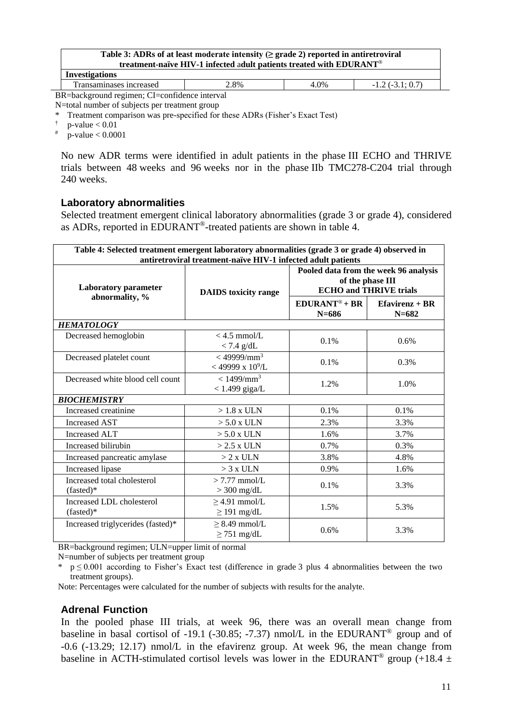| Table 3: ADRs of at least moderate intensity ( $\geq$ grade 2) reported in antiretroviral<br>treatment-naïve HIV-1 infected adult patients treated with EDURANT® |      |      |                        |  |  |
|------------------------------------------------------------------------------------------------------------------------------------------------------------------|------|------|------------------------|--|--|
| <b>Investigations</b>                                                                                                                                            |      |      |                        |  |  |
| Transaminases increased                                                                                                                                          | 2.8% | 4.0% | $-1.2$ ( $-3.1$ ; 0.7) |  |  |

BR=background regimen; CI=confidence interval N=total number of subjects per treatment group

\* Treatment comparison was pre-specified for these ADRs (Fisher's Exact Test)

 $p$ -value  $< 0.01$ 

# p-value < 0.0001

No new ADR terms were identified in adult patients in the phase III ECHO and THRIVE trials between 48 weeks and 96 weeks nor in the phase IIb TMC278-C204 trial through 240 weeks.

#### **Laboratory abnormalities**

Selected treatment emergent clinical laboratory abnormalities (grade 3 or grade 4), considered as ADRs, reported in EDURANT®-treated patients are shown in table 4.

| Table 4: Selected treatment emergent laboratory abnormalities (grade 3 or grade 4) observed in<br>antiretroviral treatment-naïve HIV-1 infected adult patients |                                                             |                                                                                                   |                                |  |
|----------------------------------------------------------------------------------------------------------------------------------------------------------------|-------------------------------------------------------------|---------------------------------------------------------------------------------------------------|--------------------------------|--|
| <b>Laboratory parameter</b>                                                                                                                                    | <b>DAIDS</b> toxicity range                                 | Pooled data from the week 96 analysis<br>of the phase III<br><b>ECHO</b> and <b>THRIVE</b> trials |                                |  |
| abnormality, %                                                                                                                                                 |                                                             | $EDURANT^* + BR$<br>$N = 686$                                                                     | $E$ favirenz + BR<br>$N = 682$ |  |
| <b>HEMATOLOGY</b>                                                                                                                                              |                                                             |                                                                                                   |                                |  |
| Decreased hemoglobin                                                                                                                                           | $<$ 4.5 mmol/L<br>$< 7.4$ g/dL                              | $0.1\%$                                                                                           | 0.6%                           |  |
| Decreased platelet count                                                                                                                                       | $<$ 49999/mm <sup>3</sup><br>$<$ 49999 x 10 <sup>9</sup> /L | 0.1%                                                                                              | 0.3%                           |  |
| Decreased white blood cell count                                                                                                                               | $< 1499 / \text{mm}^3$<br>$<$ 1.499 giga/L                  | 1.2%                                                                                              | 1.0%                           |  |
| <b>BIOCHEMISTRY</b>                                                                                                                                            |                                                             |                                                                                                   |                                |  |
| Increased creatinine                                                                                                                                           | $>1.8$ x ULN                                                | 0.1%                                                                                              | 0.1%                           |  |
| <b>Increased AST</b>                                                                                                                                           | $> 5.0$ x ULN                                               | 2.3%                                                                                              | 3.3%                           |  |
| <b>Increased ALT</b>                                                                                                                                           | $> 5.0$ x ULN                                               | 1.6%                                                                                              | 3.7%                           |  |
| Increased bilirubin                                                                                                                                            | $>2.5$ x ULN                                                | 0.7%                                                                                              | 0.3%                           |  |
| Increased pancreatic amylase                                                                                                                                   | $> 2 x$ ULN                                                 | 3.8%                                                                                              | 4.8%                           |  |
| Increased lipase                                                                                                                                               | $>$ 3 x ULN                                                 | 0.9%                                                                                              | 1.6%                           |  |
| Increased total cholesterol<br>(fasted)*                                                                                                                       | $> 7.77$ mmol/L<br>$>$ 300 mg/dL                            | 0.1%                                                                                              | 3.3%                           |  |
| Increased LDL cholesterol<br>$(fasted)*$                                                                                                                       | $>4.91$ mmol/L<br>$\geq$ 191 mg/dL                          | 1.5%                                                                                              | 5.3%                           |  |
| Increased triglycerides (fasted)*                                                                                                                              | $\geq$ 8.49 mmol/L<br>$\geq$ 751 mg/dL                      | 0.6%                                                                                              | 3.3%                           |  |

BR=background regimen; ULN=upper limit of normal

N=number of subjects per treatment group

 $p \le 0.001$  according to Fisher's Exact test (difference in grade 3 plus 4 abnormalities between the two treatment groups).

Note: Percentages were calculated for the number of subjects with results for the analyte.

#### **Adrenal Function**

In the pooled phase III trials, at week 96, there was an overall mean change from baseline in basal cortisol of -19.1 (-30.85; -7.37) nmol/L in the EDURANT<sup>®</sup> group and of -0.6 (-13.29; 12.17) nmol/L in the efavirenz group. At week 96, the mean change from baseline in ACTH-stimulated cortisol levels was lower in the EDURANT<sup>®</sup> group (+18.4  $\pm$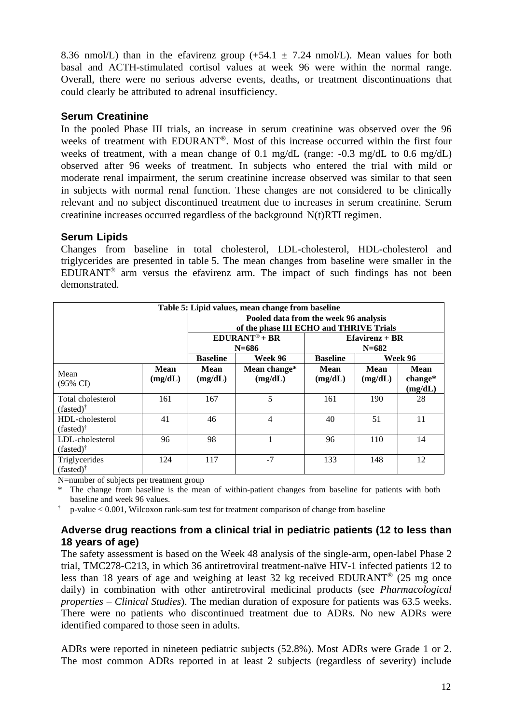8.36 nmol/L) than in the efavirenz group  $(+54.1 \pm 7.24 \text{ nmol/L})$ . Mean values for both basal and ACTH-stimulated cortisol values at week 96 were within the normal range. Overall, there were no serious adverse events, deaths, or treatment discontinuations that could clearly be attributed to adrenal insufficiency.

#### **Serum Creatinine**

In the pooled Phase III trials, an increase in serum creatinine was observed over the 96 weeks of treatment with EDURANT®. Most of this increase occurred within the first four weeks of treatment, with a mean change of 0.1 mg/dL (range: -0.3 mg/dL to 0.6 mg/dL) observed after 96 weeks of treatment. In subjects who entered the trial with mild or moderate renal impairment, the serum creatinine increase observed was similar to that seen in subjects with normal renal function. These changes are not considered to be clinically relevant and no subject discontinued treatment due to increases in serum creatinine. Serum creatinine increases occurred regardless of the background N(t)RTI regimen.

#### **Serum Lipids**

Changes from baseline in total cholesterol, LDL-cholesterol, HDL-cholesterol and triglycerides are presented in table 5. The mean changes from baseline were smaller in the EDURANT® arm versus the efavirenz arm. The impact of such findings has not been demonstrated.

| Table 5: Lipid values, mean change from baseline |                 |                                                                 |                                                                                  |                 |                        |                              |
|--------------------------------------------------|-----------------|-----------------------------------------------------------------|----------------------------------------------------------------------------------|-----------------|------------------------|------------------------------|
|                                                  |                 |                                                                 | Pooled data from the week 96 analysis<br>of the phase III ECHO and THRIVE Trials |                 |                        |                              |
|                                                  |                 | $EDURANT^* + BR$<br>$E$ favirenz + BR<br>$N = 686$<br>$N = 682$ |                                                                                  |                 |                        |                              |
|                                                  |                 | Week 96<br>Week 96<br><b>Baseline</b><br><b>Baseline</b>        |                                                                                  |                 |                        |                              |
| Mean<br>$(95\% \text{ CI})$                      | Mean<br>(mg/dL) | Mean<br>(mg/dL)                                                 | Mean change*<br>(mg/dL)                                                          | Mean<br>(mg/dL) | <b>Mean</b><br>(mg/dL) | Mean<br>$change*$<br>(mg/dL) |
| Total cholesterol<br>$(fasted)$ <sup>†</sup>     | 161             | 167                                                             | 5                                                                                | 161             | 190                    | 28                           |
| HDL-cholesterol<br>$(fasted)$ <sup>†</sup>       | 41              | 46                                                              | 4                                                                                | 40              | 51                     | 11                           |
| LDL-cholesterol<br>$(fasted)$ <sup>†</sup>       | 96              | 98                                                              |                                                                                  | 96              | 110                    | 14                           |
| Triglycerides<br>$(fasted)$ <sup>†</sup>         | 124             | 117                                                             | $-7$                                                                             | 133             | 148                    | 12                           |

N=number of subjects per treatment group

The change from baseline is the mean of within-patient changes from baseline for patients with both baseline and week 96 values.

† p-value < 0.001, Wilcoxon rank-sum test for treatment comparison of change from baseline

#### **Adverse drug reactions from a clinical trial in pediatric patients (12 to less than 18 years of age)**

The safety assessment is based on the Week 48 analysis of the single-arm, open-label Phase 2 trial, TMC278-C213, in which 36 antiretroviral treatment-naïve HIV-1 infected patients 12 to less than 18 years of age and weighing at least 32 kg received EDURANT® (25 mg once daily) in combination with other antiretroviral medicinal products (see *Pharmacological properties – Clinical Studies*). The median duration of exposure for patients was 63.5 weeks. There were no patients who discontinued treatment due to ADRs. No new ADRs were identified compared to those seen in adults.

ADRs were reported in nineteen pediatric subjects (52.8%). Most ADRs were Grade 1 or 2. The most common ADRs reported in at least 2 subjects (regardless of severity) include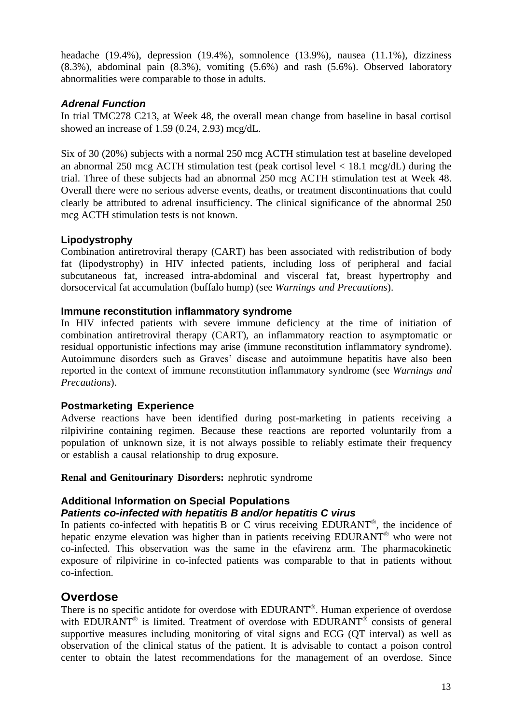headache (19.4%), depression (19.4%), somnolence (13.9%), nausea (11.1%), dizziness (8.3%), abdominal pain (8.3%), vomiting (5.6%) and rash (5.6%). Observed laboratory abnormalities were comparable to those in adults.

#### *Adrenal Function*

In trial TMC278 C213, at Week 48, the overall mean change from baseline in basal cortisol showed an increase of 1.59 (0.24, 2.93) mcg/dL.

Six of 30 (20%) subjects with a normal 250 mcg ACTH stimulation test at baseline developed an abnormal 250 mcg ACTH stimulation test (peak cortisol level < 18.1 mcg/dL) during the trial. Three of these subjects had an abnormal 250 mcg ACTH stimulation test at Week 48. Overall there were no serious adverse events, deaths, or treatment discontinuations that could clearly be attributed to adrenal insufficiency. The clinical significance of the abnormal 250 mcg ACTH stimulation tests is not known.

#### **Lipodystrophy**

Combination antiretroviral therapy (CART) has been associated with redistribution of body fat (lipodystrophy) in HIV infected patients, including loss of peripheral and facial subcutaneous fat, increased intra-abdominal and visceral fat, breast hypertrophy and dorsocervical fat accumulation (buffalo hump) (see *Warnings and Precautions*).

#### **Immune reconstitution inflammatory syndrome**

In HIV infected patients with severe immune deficiency at the time of initiation of combination antiretroviral therapy (CART), an inflammatory reaction to asymptomatic or residual opportunistic infections may arise (immune reconstitution inflammatory syndrome). Autoimmune disorders such as Graves' disease and autoimmune hepatitis have also been reported in the context of immune reconstitution inflammatory syndrome (see *Warnings and Precautions*).

#### **Postmarketing Experience**

Adverse reactions have been identified during post-marketing in patients receiving a rilpivirine containing regimen. Because these reactions are reported voluntarily from a population of unknown size, it is not always possible to reliably estimate their frequency or establish a causal relationship to drug exposure.

#### **Renal and Genitourinary Disorders:** nephrotic syndrome

#### **Additional Information on Special Populations** *Patients co-infected with hepatitis B and/or hepatitis C virus*

In patients co-infected with hepatitis B or C virus receiving EDURANT®, the incidence of hepatic enzyme elevation was higher than in patients receiving EDURANT® who were not co-infected. This observation was the same in the efavirenz arm. The pharmacokinetic exposure of rilpivirine in co-infected patients was comparable to that in patients without co-infection.

## **Overdose**

There is no specific antidote for overdose with EDURANT®. Human experience of overdose with EDURANT<sup>®</sup> is limited. Treatment of overdose with EDURANT<sup>®</sup> consists of general supportive measures including monitoring of vital signs and ECG (QT interval) as well as observation of the clinical status of the patient. It is advisable to contact a poison control center to obtain the latest recommendations for the management of an overdose. Since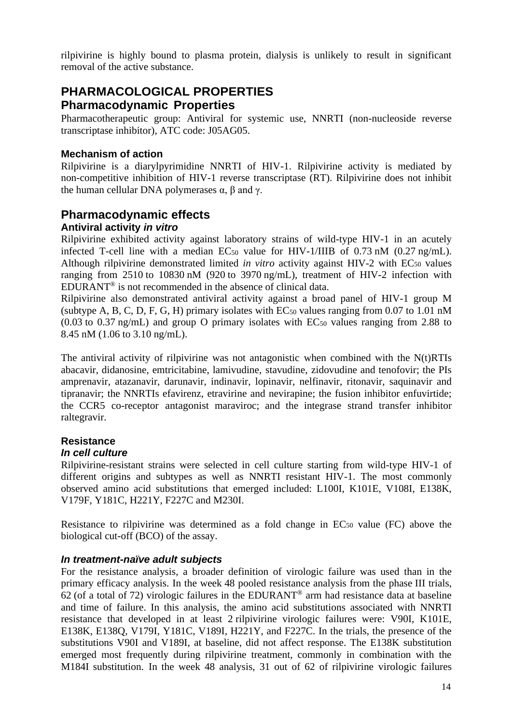rilpivirine is highly bound to plasma protein, dialysis is unlikely to result in significant removal of the active substance.

# **PHARMACOLOGICAL PROPERTIES**

#### **Pharmacodynamic Properties**

Pharmacotherapeutic group: Antiviral for systemic use, NNRTI (non-nucleoside reverse transcriptase inhibitor), ATC code: J05AG05.

#### **Mechanism of action**

Rilpivirine is a diarylpyrimidine NNRTI of HIV-1. Rilpivirine activity is mediated by non-competitive inhibition of HIV-1 reverse transcriptase (RT). Rilpivirine does not inhibit the human cellular DNA polymerases  $α$ ,  $β$  and  $γ$ .

# **Pharmacodynamic effects**

#### **Antiviral activity** *in vitro*

Rilpivirine exhibited activity against laboratory strains of wild-type HIV-1 in an acutely infected T-cell line with a median EC<sub>50</sub> value for HIV-1/IIIB of 0.73 nM (0.27 ng/mL). Although rilpivirine demonstrated limited *in vitro* activity against HIV-2 with EC<sub>50</sub> values ranging from 2510 to 10830 nM (920 to 3970 ng/mL), treatment of HIV-2 infection with EDURANT® is not recommended in the absence of clinical data.

Rilpivirine also demonstrated antiviral activity against a broad panel of HIV-1 group M (subtype A, B, C, D, F, G, H) primary isolates with  $EC_{50}$  values ranging from 0.07 to 1.01 nM  $(0.03 \text{ to } 0.37 \text{ ng/mL})$  and group O primary isolates with EC<sub>50</sub> values ranging from 2.88 to 8.45 nM (1.06 to 3.10 ng/mL).

The antiviral activity of rilpivirine was not antagonistic when combined with the  $N(t)RTIs$ abacavir, didanosine, emtricitabine, lamivudine, stavudine, zidovudine and tenofovir; the PIs amprenavir, atazanavir, darunavir, indinavir, lopinavir, nelfinavir, ritonavir, saquinavir and tipranavir; the NNRTIs efavirenz, etravirine and nevirapine; the fusion inhibitor enfuvirtide; the CCR5 co-receptor antagonist maraviroc; and the integrase strand transfer inhibitor raltegravir.

# **Resistance**

#### *In cell culture*

Rilpivirine-resistant strains were selected in cell culture starting from wild-type HIV-1 of different origins and subtypes as well as NNRTI resistant HIV-1. The most commonly observed amino acid substitutions that emerged included: L100I, K101E, V108I, E138K, V179F, Y181C, H221Y, F227C and M230I.

Resistance to rilpivirine was determined as a fold change in  $EC_{50}$  value (FC) above the biological cut-off (BCO) of the assay.

#### *In treatment-naïve adult subjects*

For the resistance analysis, a broader definition of virologic failure was used than in the primary efficacy analysis. In the week 48 pooled resistance analysis from the phase III trials,  $62$  (of a total of 72) virologic failures in the EDURANT<sup>®</sup> arm had resistance data at baseline and time of failure. In this analysis, the amino acid substitutions associated with NNRTI resistance that developed in at least 2 rilpivirine virologic failures were: V90I, K101E, E138K, E138Q, V179I, Y181C, V189I, H221Y, and F227C. In the trials, the presence of the substitutions V90I and V189I, at baseline, did not affect response. The E138K substitution emerged most frequently during rilpivirine treatment, commonly in combination with the M184I substitution. In the week 48 analysis, 31 out of 62 of rilpivirine virologic failures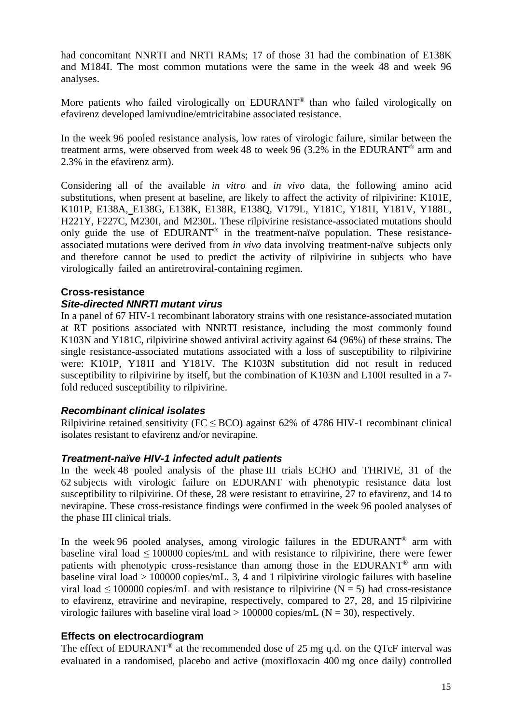had concomitant NNRTI and NRTI RAMs; 17 of those 31 had the combination of E138K and M184I. The most common mutations were the same in the week 48 and week 96 analyses.

More patients who failed virologically on EDURANT<sup>®</sup> than who failed virologically on efavirenz developed lamivudine/emtricitabine associated resistance.

In the week 96 pooled resistance analysis, low rates of virologic failure, similar between the treatment arms, were observed from week 48 to week 96 (3.2% in the EDURANT<sup>®</sup> arm and 2.3% in the efavirenz arm).

Considering all of the available *in vitro* and *in vivo* data, the following amino acid substitutions, when present at baseline, are likely to affect the activity of rilpivirine: K101E, K101P, E138A, E138G, E138K, E138R, E138Q, V179L, Y181C, Y181I, Y181V, Y188L, H221Y, F227C, M230I, and M230L. These rilpivirine resistance-associated mutations should only guide the use of EDURANT® in the treatment-naïve population. These resistanceassociated mutations were derived from *in vivo* data involving treatment-naïve subjects only and therefore cannot be used to predict the activity of rilpivirine in subjects who have virologically failed an antiretroviral-containing regimen.

# **Cross-resistance**

#### *Site-directed NNRTI mutant virus*

In a panel of 67 HIV-1 recombinant laboratory strains with one resistance-associated mutation at RT positions associated with NNRTI resistance, including the most commonly found K103N and Y181C, rilpivirine showed antiviral activity against 64 (96%) of these strains. The single resistance-associated mutations associated with a loss of susceptibility to rilpivirine were: K101P, Y181I and Y181V. The K103N substitution did not result in reduced susceptibility to rilpivirine by itself, but the combination of K103N and L100I resulted in a 7 fold reduced susceptibility to rilpivirine.

#### *Recombinant clinical isolates*

Rilpivirine retained sensitivity (FC  $\leq$  BCO) against 62% of 4786 HIV-1 recombinant clinical isolates resistant to efavirenz and/or nevirapine.

#### *Treatment-naïve HIV-1 infected adult patients*

In the week 48 pooled analysis of the phase III trials ECHO and THRIVE, 31 of the 62 subjects with virologic failure on EDURANT with phenotypic resistance data lost susceptibility to rilpivirine. Of these, 28 were resistant to etravirine, 27 to efavirenz, and 14 to nevirapine. These cross-resistance findings were confirmed in the week 96 pooled analyses of the phase III clinical trials.

In the week 96 pooled analyses, among virologic failures in the EDURANT<sup>®</sup> arm with baseline viral load  $\leq 100000$  copies/mL and with resistance to rilpivirine, there were fewer patients with phenotypic cross-resistance than among those in the EDURANT® arm with baseline viral load > 100000 copies/mL. 3, 4 and 1 rilpivirine virologic failures with baseline viral load  $\leq 100000$  copies/mL and with resistance to rilpivirine (N = 5) had cross-resistance to efavirenz, etravirine and nevirapine, respectively, compared to 27, 28, and 15 rilpivirine virologic failures with baseline viral load  $> 100000$  copies/mL (N = 30), respectively.

#### **Effects on electrocardiogram**

The effect of EDURANT<sup>®</sup> at the recommended dose of 25 mg q.d. on the OTcF interval was evaluated in a randomised, placebo and active (moxifloxacin 400 mg once daily) controlled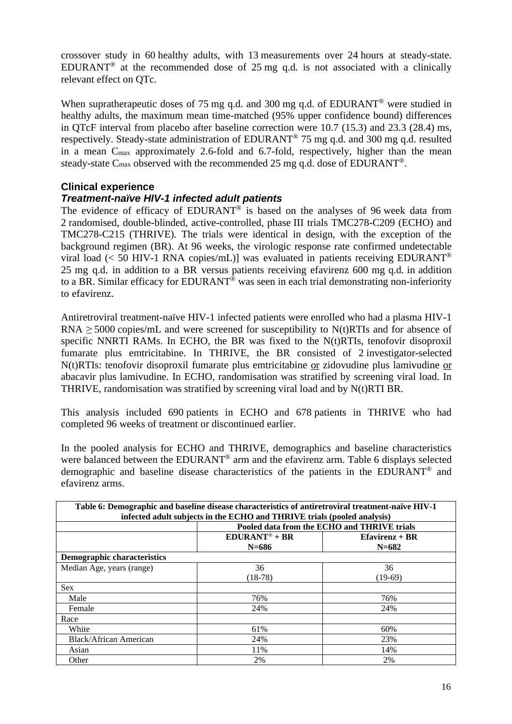crossover study in 60 healthy adults, with 13 measurements over 24 hours at steady-state. EDURANT<sup>®</sup> at the recommended dose of 25 mg q.d. is not associated with a clinically relevant effect on QTc.

When supratherapeutic doses of 75 mg q.d. and 300 mg q.d. of EDURANT<sup>®</sup> were studied in healthy adults, the maximum mean time-matched (95% upper confidence bound) differences in QTcF interval from placebo after baseline correction were 10.7 (15.3) and 23.3 (28.4) ms, respectively. Steady-state administration of EDURANT® 75 mg q.d. and 300 mg q.d. resulted in a mean Cmax approximately 2.6-fold and 6.7-fold, respectively, higher than the mean steady-state C<sub>max</sub> observed with the recommended 25 mg q.d. dose of EDURANT<sup>®</sup>.

#### **Clinical experience**

#### *Treatment-naïve HIV***-***1 infected adult patients*

The evidence of efficacy of EDURANT® is based on the analyses of 96 week data from 2 randomised, double-blinded, active-controlled, phase III trials TMC278-C209 (ECHO) and TMC278-C215 (THRIVE). The trials were identical in design, with the exception of the background regimen (BR). At 96 weeks, the virologic response rate confirmed undetectable viral load ( $<$  50 HIV-1 RNA copies/mL)] was evaluated in patients receiving EDURANT<sup>®</sup> 25 mg q.d. in addition to a BR versus patients receiving efavirenz 600 mg q.d. in addition to a BR. Similar efficacy for EDURANT<sup>®</sup> was seen in each trial demonstrating non-inferiority to efavirenz.

Antiretroviral treatment-naïve HIV-1 infected patients were enrolled who had a plasma HIV-1 RNA  $\geq$  5000 copies/mL and were screened for susceptibility to N(t)RTIs and for absence of specific NNRTI RAMs. In ECHO, the BR was fixed to the N(t)RTIs, tenofovir disoproxil fumarate plus emtricitabine. In THRIVE, the BR consisted of 2 investigator-selected N(t)RTIs: tenofovir disoproxil fumarate plus emtricitabine or zidovudine plus lamivudine or abacavir plus lamivudine. In ECHO, randomisation was stratified by screening viral load. In THRIVE, randomisation was stratified by screening viral load and by N(t)RTI BR.

This analysis included 690 patients in ECHO and 678 patients in THRIVE who had completed 96 weeks of treatment or discontinued earlier.

In the pooled analysis for ECHO and THRIVE, demographics and baseline characteristics were balanced between the EDURANT® arm and the efavirenz arm. Table 6 displays selected demographic and baseline disease characteristics of the patients in the EDURANT® and efavirenz arms.

| Table 6: Demographic and baseline disease characteristics of antiretroviral treatment-naïve HIV-1 |                                                 |           |  |  |  |  |
|---------------------------------------------------------------------------------------------------|-------------------------------------------------|-----------|--|--|--|--|
| infected adult subjects in the ECHO and THRIVE trials (pooled analysis)                           |                                                 |           |  |  |  |  |
|                                                                                                   | Pooled data from the ECHO and THRIVE trials     |           |  |  |  |  |
|                                                                                                   | $EDURANT^{\circledR} + BR$<br>$E$ favirenz + BR |           |  |  |  |  |
|                                                                                                   | $N = 686$                                       | $N = 682$ |  |  |  |  |
| <b>Demographic characteristics</b>                                                                |                                                 |           |  |  |  |  |
| Median Age, years (range)                                                                         | 36                                              | 36        |  |  |  |  |
|                                                                                                   | $(18-78)$                                       | $(19-69)$ |  |  |  |  |
| <b>Sex</b>                                                                                        |                                                 |           |  |  |  |  |
| Male                                                                                              | 76%                                             | 76%       |  |  |  |  |
| Female                                                                                            | 24%                                             | 24%       |  |  |  |  |
| Race                                                                                              |                                                 |           |  |  |  |  |
| White                                                                                             | 61%                                             | 60%       |  |  |  |  |
| Black/African American                                                                            | 24%                                             | 23%       |  |  |  |  |
| Asian                                                                                             | 11%                                             | 14%       |  |  |  |  |
| Other                                                                                             | 2%                                              | 2%        |  |  |  |  |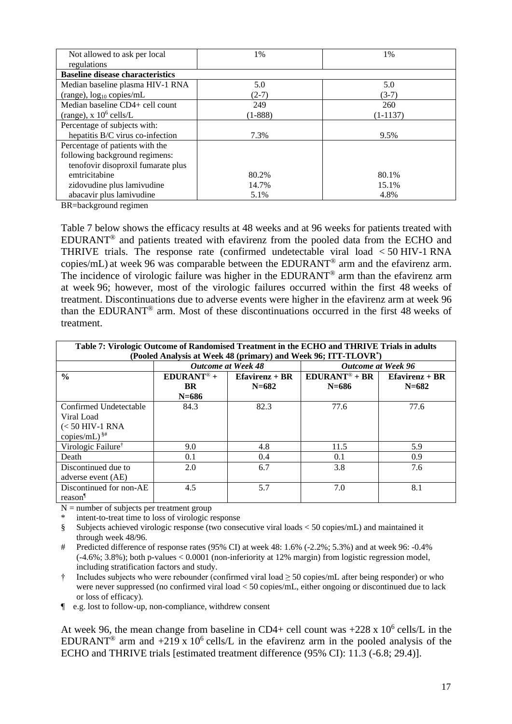| Not allowed to ask per local            | 1%        | 1%         |
|-----------------------------------------|-----------|------------|
| regulations                             |           |            |
| <b>Baseline disease characteristics</b> |           |            |
| Median baseline plasma HIV-1 RNA        | 5.0       | 5.0        |
| (range), $log_{10}$ copies/mL           | $(2-7)$   | $(3-7)$    |
| Median baseline CD4+ cell count         | 249       | 260        |
| (range), $x 10^6$ cells/L               | $(1-888)$ | $(1-1137)$ |
| Percentage of subjects with:            |           |            |
| hepatitis B/C virus co-infection        | 7.3%      | 9.5%       |
| Percentage of patients with the         |           |            |
| following background regimens:          |           |            |
| tenofovir disoproxil fumarate plus      |           |            |
| emtricitabine                           | 80.2%     | 80.1%      |
| zidovudine plus lamivudine              | 14.7%     | 15.1%      |
| abacavir plus lamivudine                | 5.1%      | 4.8%       |

BR=background regimen

Table 7 below shows the efficacy results at 48 weeks and at 96 weeks for patients treated with EDURANT® and patients treated with efavirenz from the pooled data from the ECHO and THRIVE trials. The response rate (confirmed undetectable viral load < 50 HIV-1 RNA copies/mL) at week 96 was comparable between the EDURANT® arm and the efavirenz arm. The incidence of virologic failure was higher in the EDURANT<sup>®</sup> arm than the efavirenz arm at week 96; however, most of the virologic failures occurred within the first 48 weeks of treatment. Discontinuations due to adverse events were higher in the efavirenz arm at week 96 than the EDURANT® arm. Most of these discontinuations occurred in the first 48 weeks of treatment.

| Table 7: Virologic Outcome of Randomised Treatment in the ECHO and THRIVE Trials in adults |                                                                                                                                       |                   |                            |                   |  |  |  |
|--------------------------------------------------------------------------------------------|---------------------------------------------------------------------------------------------------------------------------------------|-------------------|----------------------------|-------------------|--|--|--|
|                                                                                            | (Pooled Analysis at Week 48 (primary) and Week 96; ITT-TLOVR <sup>*</sup> )<br><b>Outcome at Week 48</b><br><b>Outcome at Week 96</b> |                   |                            |                   |  |  |  |
|                                                                                            |                                                                                                                                       |                   |                            |                   |  |  |  |
| $\frac{0}{0}$                                                                              | $EDURANT® +$                                                                                                                          | $E$ favirenz + BR | $EDURANT^{\circledR} + BR$ | $E$ favirenz + BR |  |  |  |
|                                                                                            | <b>BR</b>                                                                                                                             | $N = 682$         | $N = 686$                  | $N = 682$         |  |  |  |
|                                                                                            | $N = 686$                                                                                                                             |                   |                            |                   |  |  |  |
| Confirmed Undetectable                                                                     | 84.3                                                                                                                                  | 82.3              | 77.6                       | 77.6              |  |  |  |
| Viral Load                                                                                 |                                                                                                                                       |                   |                            |                   |  |  |  |
| $(< 50$ HIV-1 RNA                                                                          |                                                                                                                                       |                   |                            |                   |  |  |  |
| copies/mL) $\frac{\$ \#}{\ }                                                               |                                                                                                                                       |                   |                            |                   |  |  |  |
| Virologic Failure <sup>†</sup>                                                             | 9.0                                                                                                                                   | 4.8               | 11.5                       | 5.9               |  |  |  |
| Death                                                                                      | 0.1                                                                                                                                   | 0.4               | 0.1                        | 0.9               |  |  |  |
| Discontinued due to                                                                        | 2.0                                                                                                                                   | 6.7               | 3.8                        | 7.6               |  |  |  |
| adverse event (AE)                                                                         |                                                                                                                                       |                   |                            |                   |  |  |  |
| Discontinued for non-AE                                                                    | 4.5                                                                                                                                   | 5.7               | 7.0                        | 8.1               |  |  |  |
| reason <sup>1</sup>                                                                        |                                                                                                                                       |                   |                            |                   |  |  |  |

 $N =$  number of subjects per treatment group

intent-to-treat time to loss of virologic response

- § Subjects achieved virologic response (two consecutive viral loads < 50 copies/mL) and maintained it through week 48/96.
- # Predicted difference of response rates (95% CI) at week 48: 1.6% (-2.2%; 5.3%) and at week 96: -0.4%  $(-4.6\%; 3.8\%)$ ; both p-values  $< 0.0001$  (non-inferiority at 12% margin) from logistic regression model, including stratification factors and study.
- † Includes subjects who were rebounder (confirmed viral load ≥ 50 copies/mL after being responder) or who were never suppressed (no confirmed viral load < 50 copies/mL, either ongoing or discontinued due to lack or loss of efficacy).

¶ e.g. lost to follow-up, non-compliance, withdrew consent

At week 96, the mean change from baseline in CD4+ cell count was  $+228 \times 10^6$  cells/L in the EDURANT<sup>®</sup> arm and +219 x 10<sup>6</sup> cells/L in the efavirenz arm in the pooled analysis of the ECHO and THRIVE trials [estimated treatment difference (95% CI): 11.3 (-6.8; 29.4)].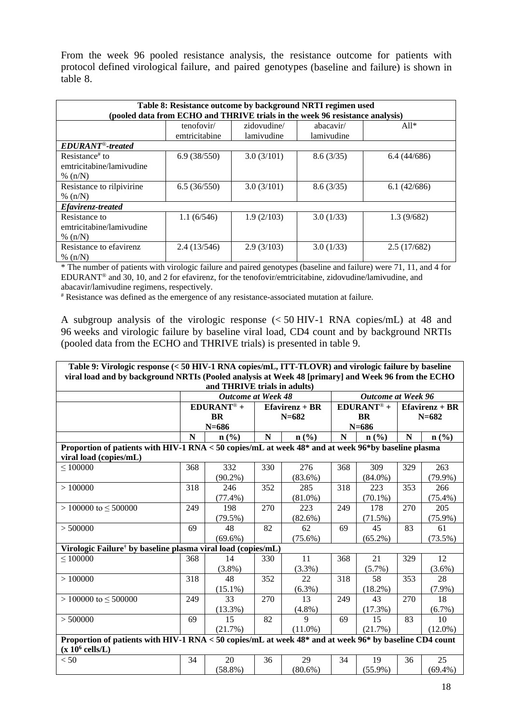From the week 96 pooled resistance analysis, the resistance outcome for patients with protocol defined virological failure, and paired genotypes (baseline and failure) is shown in table 8.

| Table 8: Resistance outcome by background NRTI regimen used<br>(pooled data from ECHO and THRIVE trials in the week 96 resistance analysis) |                             |                           |                         |             |  |  |  |  |  |
|---------------------------------------------------------------------------------------------------------------------------------------------|-----------------------------|---------------------------|-------------------------|-------------|--|--|--|--|--|
|                                                                                                                                             | tenofovir/<br>emtricitabine | zidovudine/<br>lamivudine | abacavir/<br>lamivudine | $All*$      |  |  |  |  |  |
| EDURANT <sup>®</sup> -treated                                                                                                               |                             |                           |                         |             |  |  |  |  |  |
| Resistance <sup>#</sup> to<br>emtricitabine/lamivudine<br>% $(n/N)$                                                                         | 6.9(38/550)                 | 3.0(3/101)                | 8.6(3/35)               | 6.4(44/686) |  |  |  |  |  |
| Resistance to rilpivirine<br>% $(n/N)$                                                                                                      | 6.5(36/550)                 | 3.0(3/101)                | 8.6(3/35)               | 6.1(42/686) |  |  |  |  |  |
| <i>Efavirenz-treated</i>                                                                                                                    |                             |                           |                         |             |  |  |  |  |  |
| Resistance to<br>emtricitabine/lamivudine<br>% $(n/N)$                                                                                      | 1.1(6/546)                  | 1.9(2/103)                | 3.0(1/33)               | 1.3(9/682)  |  |  |  |  |  |
| Resistance to efavirenz<br>% $(n/N)$                                                                                                        | 2.4(13/546)                 | 2.9(3/103)                | 3.0(1/33)               | 2.5(17/682) |  |  |  |  |  |

\* The number of patients with virologic failure and paired genotypes (baseline and failure) were 71, 11, and 4 for EDURANT® and 30, 10, and 2 for efavirenz, for the tenofovir/emtricitabine, zidovudine/lamivudine, and abacavir/lamivudine regimens, respectively.

# Resistance was defined as the emergence of any resistance-associated mutation at failure.

A subgroup analysis of the virologic response (< 50 HIV-1 RNA copies/mL) at 48 and 96 weeks and virologic failure by baseline viral load, CD4 count and by background NRTIs (pooled data from the ECHO and THRIVE trials) is presented in table 9.

| Table 9: Virologic response (< 50 HIV-1 RNA copies/mL, ITT-TLOVR) and virologic failure by baseline                                |           |                             |                  |            |                           |                             |                   |                             |
|------------------------------------------------------------------------------------------------------------------------------------|-----------|-----------------------------|------------------|------------|---------------------------|-----------------------------|-------------------|-----------------------------|
| viral load and by background NRTIs (Pooled analysis at Week 48 [primary] and Week 96 from the ECHO<br>and THRIVE trials in adults) |           |                             |                  |            |                           |                             |                   |                             |
|                                                                                                                                    |           | <b>Outcome at Week 48</b>   |                  |            | <b>Outcome at Week 96</b> |                             |                   |                             |
|                                                                                                                                    |           | $EDURANT® +$                | $Efavirenz + BR$ |            | $EDURANT® +$              |                             | $E$ favirenz + BR |                             |
|                                                                                                                                    | <b>BR</b> |                             | $N = 682$        |            | <b>BR</b>                 |                             | $N = 682$         |                             |
|                                                                                                                                    | $N = 686$ |                             |                  |            | $N = 686$                 |                             |                   |                             |
|                                                                                                                                    | N         | $n\left(\frac{9}{6}\right)$ | ${\bf N}$        | n(%)       | N                         | $n\left(\frac{9}{6}\right)$ | $\mathbf N$       | $n\left(\frac{0}{0}\right)$ |
| Proportion of patients with HIV-1 RNA < 50 copies/mL at week 48* and at week 96*by baseline plasma                                 |           |                             |                  |            |                           |                             |                   |                             |
| viral load (copies/mL)                                                                                                             |           |                             |                  |            |                           |                             |                   |                             |
| $\leq 100000$                                                                                                                      | 368       | 332                         | 330              | 276        | 368                       | 309                         | 329               | 263                         |
|                                                                                                                                    |           | $(90.2\%)$                  |                  | $(83.6\%)$ |                           | $(84.0\%)$                  |                   | $(79.9\%)$                  |
| >100000                                                                                                                            | 318       | 246                         | 352              | 285        | 318                       | 223                         | 353               | 266                         |
|                                                                                                                                    |           | $(77.4\%)$                  |                  | $(81.0\%)$ |                           | $(70.1\%)$                  |                   | $(75.4\%)$                  |
| $> 100000$ to $\leq 500000$                                                                                                        | 249       | 198                         | 270              | 223        | 249                       | 178                         | 270               | 205                         |
|                                                                                                                                    |           | (79.5%)                     |                  | $(82.6\%)$ |                           | (71.5%)                     |                   | $(75.9\%)$                  |
| > 500000                                                                                                                           | 69        | 48                          | 82               | 62         | 69                        | 45                          | 83                | 61                          |
|                                                                                                                                    |           | $(69.6\%)$                  |                  | $(75.6\%)$ |                           | $(65.2\%)$                  |                   | $(73.5\%)$                  |
| Virologic Failure <sup>†</sup> by baseline plasma viral load (copies/mL)                                                           |           |                             |                  |            |                           |                             |                   |                             |
| $\leq 100000$                                                                                                                      | 368       | 14                          | 330              | 11         | 368                       | 21                          | 329               | 12                          |
|                                                                                                                                    |           | $(3.8\%)$                   |                  | (3.3%)     |                           | $(5.7\%)$                   |                   | $(3.6\%)$                   |
| >100000                                                                                                                            | 318       | 48                          | 352              | 22         | 318                       | 58                          | 353               | 28                          |
|                                                                                                                                    |           | $(15.1\%)$                  |                  | $(6.3\%)$  |                           | $(18.2\%)$                  |                   | $(7.9\%)$                   |
| $> 100000$ to $\leq 500000$                                                                                                        | 249       | 33                          | 270              | 13         | 249                       | 43                          | 270               | 18                          |
|                                                                                                                                    |           | (13.3%)                     |                  | $(4.8\%)$  |                           | (17.3%)                     |                   | $(6.7\%)$                   |
| > 500000                                                                                                                           | 69        | 15                          | 82               | 9          | 69                        | 15                          | 83                | 10                          |
|                                                                                                                                    |           | (21.7%)                     |                  | $(11.0\%)$ |                           | (21.7%)                     |                   | $(12.0\%)$                  |
| Proportion of patients with HIV-1 RNA < 50 copies/mL at week 48* and at week 96* by baseline CD4 count<br>$(x 10^6$ cells/L)       |           |                             |                  |            |                           |                             |                   |                             |
| < 50                                                                                                                               | 34        | 20                          | 36               | 29         | 34                        | 19                          | 36                | 25                          |
|                                                                                                                                    |           | $(58.8\%)$                  |                  | $(80.6\%)$ |                           | $(55.9\%)$                  |                   | $(69.4\%)$                  |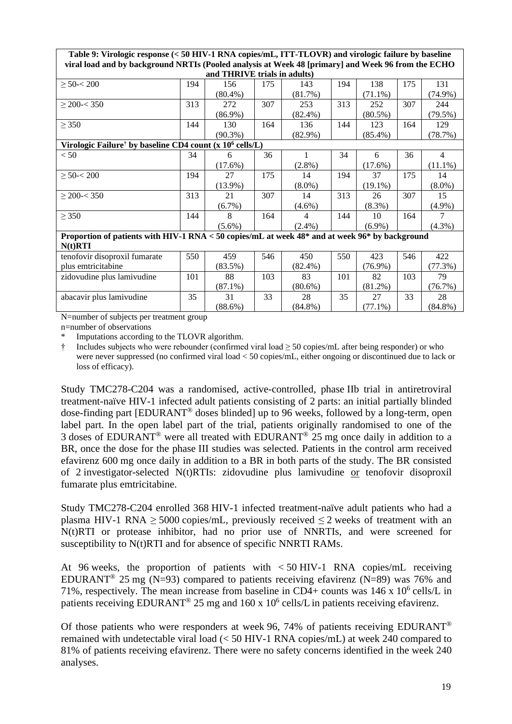| Table 9: Virologic response (< 50 HIV-1 RNA copies/mL, ITT-TLOVR) and virologic failure by baseline<br>viral load and by background NRTIs (Pooled analysis at Week 48 [primary] and Week 96 from the ECHO |     |            |     |                |     |            |     |                |
|-----------------------------------------------------------------------------------------------------------------------------------------------------------------------------------------------------------|-----|------------|-----|----------------|-----|------------|-----|----------------|
| and THRIVE trials in adults)                                                                                                                                                                              |     |            |     |                |     |            |     |                |
| $\geq 50 < 200$                                                                                                                                                                                           | 194 | 156        | 175 | 143            | 194 | 138        | 175 | 131            |
|                                                                                                                                                                                                           |     | $(80.4\%)$ |     | (81.7%)        |     | $(71.1\%)$ |     | $(74.9\%)$     |
| $\geq$ 200-< 350                                                                                                                                                                                          | 313 | 272        | 307 | 253            | 313 | 252        | 307 | 244            |
|                                                                                                                                                                                                           |     | $(86.9\%)$ |     | $(82.4\%)$     |     | $(80.5\%)$ |     | $(79.5\%)$     |
| $\geq$ 350                                                                                                                                                                                                | 144 | 130        | 164 | 136            | 144 | 123        | 164 | 129            |
|                                                                                                                                                                                                           |     | $(90.3\%)$ |     | $(82.9\%)$     |     | $(85.4\%)$ |     | (78.7%)        |
| Virologic Failure <sup>†</sup> by baseline CD4 count (x 10 <sup>6</sup> cells/L)                                                                                                                          |     |            |     |                |     |            |     |                |
| < 50                                                                                                                                                                                                      | 34  | 6          | 36  | $\mathbf{1}$   | 34  | 6          | 36  | $\overline{4}$ |
|                                                                                                                                                                                                           |     | $(17.6\%)$ |     | $(2.8\%)$      |     | $(17.6\%)$ |     | $(11.1\%)$     |
| $\geq 50 < 200$                                                                                                                                                                                           | 194 | 27         | 175 | 14             | 194 | 37         | 175 | 14             |
|                                                                                                                                                                                                           |     | $(13.9\%)$ |     | $(8.0\%)$      |     | $(19.1\%)$ |     | $(8.0\%)$      |
| $\geq$ 200-< 350                                                                                                                                                                                          | 313 | 21         | 307 | 14             | 313 | 26         | 307 | 15             |
|                                                                                                                                                                                                           |     | $(6.7\%)$  |     | $(4.6\%)$      |     | $(8.3\%)$  |     | $(4.9\%)$      |
| $\geq$ 350                                                                                                                                                                                                | 144 | 8          | 164 | $\overline{4}$ | 144 | 10         | 164 | 7              |
|                                                                                                                                                                                                           |     | $(5.6\%)$  |     | $(2.4\%)$      |     | $(6.9\%)$  |     | $(4.3\%)$      |
| Proportion of patients with HIV-1 RNA < 50 copies/mL at week 48* and at week 96* by background                                                                                                            |     |            |     |                |     |            |     |                |
| $N(t)$ RTI                                                                                                                                                                                                |     |            |     |                |     |            |     |                |
| tenofovir disoproxil fumarate                                                                                                                                                                             | 550 | 459        | 546 | 450            | 550 | 423        | 546 | 422            |
| plus emtricitabine                                                                                                                                                                                        |     | (83.5%)    |     | $(82.4\%)$     |     | $(76.9\%)$ |     | (77.3%)        |
| zidovudine plus lamivudine                                                                                                                                                                                | 101 | 88         | 103 | 83             | 101 | 82         | 103 | 79             |
|                                                                                                                                                                                                           |     | $(87.1\%)$ |     | $(80.6\%)$     |     | $(81.2\%)$ |     | (76.7%)        |
| abacavir plus lamivudine                                                                                                                                                                                  | 35  | 31         | 33  | 28             | 35  | 27         | 33  | 28             |
|                                                                                                                                                                                                           |     | $(88.6\%)$ |     | $(84.8\%)$     |     | $(77.1\%)$ |     | $(84.8\%)$     |

N=number of subjects per treatment group

n=number of observations

Imputations according to the TLOVR algorithm.

† Includes subjects who were rebounder (confirmed viral load ≥ 50 copies/mL after being responder) or who were never suppressed (no confirmed viral load < 50 copies/mL, either ongoing or discontinued due to lack or loss of efficacy).

Study TMC278-C204 was a randomised, active-controlled, phase IIb trial in antiretroviral treatment-naïve HIV-1 infected adult patients consisting of 2 parts: an initial partially blinded dose-finding part [EDURANT® doses blinded] up to 96 weeks, followed by a long-term, open label part. In the open label part of the trial, patients originally randomised to one of the 3 doses of EDURANT® were all treated with EDURANT® 25 mg once daily in addition to a BR, once the dose for the phase III studies was selected. Patients in the control arm received efavirenz 600 mg once daily in addition to a BR in both parts of the study. The BR consisted of 2 investigator-selected N(t)RTIs: zidovudine plus lamivudine or tenofovir disoproxil fumarate plus emtricitabine.

Study TMC278-C204 enrolled 368 HIV-1 infected treatment-naïve adult patients who had a plasma HIV-1 RNA  $\geq$  5000 copies/mL, previously received  $\leq$  2 weeks of treatment with an N(t)RTI or protease inhibitor, had no prior use of NNRTIs, and were screened for susceptibility to N(t)RTI and for absence of specific NNRTI RAMs.

At 96 weeks, the proportion of patients with < 50 HIV-1 RNA copies/mL receiving EDURANT<sup>®</sup> 25 mg (N=93) compared to patients receiving efavirenz (N=89) was 76% and 71%, respectively. The mean increase from baseline in CD4+ counts was  $146 \times 10^6$  cells/L in patients receiving EDURANT<sup>®</sup> 25 mg and 160 x 10<sup>6</sup> cells/L in patients receiving efavirenz.

Of those patients who were responders at week 96, 74% of patients receiving EDURANT<sup>®</sup> remained with undetectable viral load (< 50 HIV-1 RNA copies/mL) at week 240 compared to 81% of patients receiving efavirenz. There were no safety concerns identified in the week 240 analyses.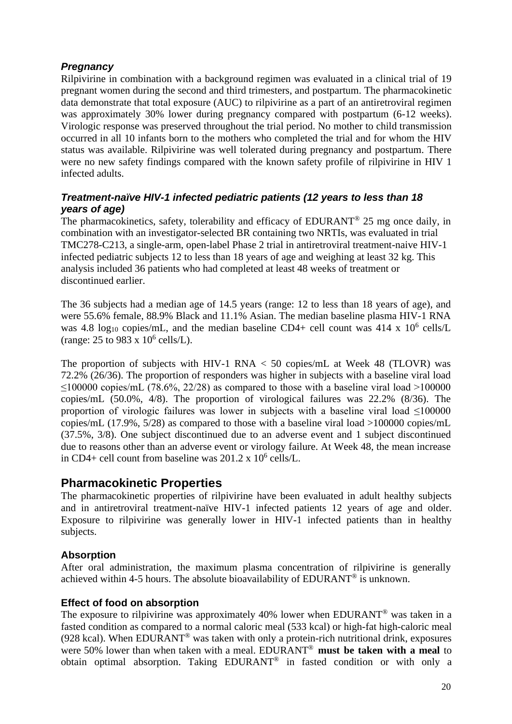#### *Pregnancy*

Rilpivirine in combination with a background regimen was evaluated in a clinical trial of 19 pregnant women during the second and third trimesters, and postpartum. The pharmacokinetic data demonstrate that total exposure (AUC) to rilpivirine as a part of an antiretroviral regimen was approximately 30% lower during pregnancy compared with postpartum (6-12 weeks). Virologic response was preserved throughout the trial period. No mother to child transmission occurred in all 10 infants born to the mothers who completed the trial and for whom the HIV status was available. Rilpivirine was well tolerated during pregnancy and postpartum. There were no new safety findings compared with the known safety profile of rilpivirine in HIV 1 infected adults.

#### *Treatment-naïve HIV-1 infected pediatric patients (12 years to less than 18 years of age)*

The pharmacokinetics, safety, tolerability and efficacy of EDURANT<sup>®</sup> 25 mg once daily, in combination with an investigator-selected BR containing two NRTIs, was evaluated in trial TMC278-C213, a single-arm, open-label Phase 2 trial in antiretroviral treatment-naive HIV-1 infected pediatric subjects 12 to less than 18 years of age and weighing at least 32 kg. This analysis included 36 patients who had completed at least 48 weeks of treatment or discontinued earlier.

The 36 subjects had a median age of 14.5 years (range: 12 to less than 18 years of age), and were 55.6% female, 88.9% Black and 11.1% Asian. The median baseline plasma HIV-1 RNA was 4.8 log<sub>10</sub> copies/mL, and the median baseline CD4+ cell count was 414 x  $10^6$  cells/L (range:  $25$  to  $983 \times 10^6$  cells/L).

The proportion of subjects with HIV-1 RNA  $<$  50 copies/mL at Week 48 (TLOVR) was 72.2% (26/36). The proportion of responders was higher in subjects with a baseline viral load  $\leq$ 100000 copies/mL (78.6%, 22/28) as compared to those with a baseline viral load >100000 copies/mL (50.0%, 4/8). The proportion of virological failures was 22.2% (8/36). The proportion of virologic failures was lower in subjects with a baseline viral load <100000 copies/mL (17.9%, 5/28) as compared to those with a baseline viral load >100000 copies/mL (37.5%, 3/8). One subject discontinued due to an adverse event and 1 subject discontinued due to reasons other than an adverse event or virology failure. At Week 48, the mean increase in CD4+ cell count from baseline was  $201.2 \times 10^6$  cells/L.

## **Pharmacokinetic Properties**

The pharmacokinetic properties of rilpivirine have been evaluated in adult healthy subjects and in antiretroviral treatment-naïve HIV-1 infected patients 12 years of age and older. Exposure to rilpivirine was generally lower in HIV-1 infected patients than in healthy subjects.

#### **Absorption**

After oral administration, the maximum plasma concentration of rilpivirine is generally achieved within 4-5 hours. The absolute bioavailability of EDURANT® is unknown.

#### **Effect of food on absorption**

The exposure to rilpivirine was approximately 40% lower when EDURANT® was taken in a fasted condition as compared to a normal caloric meal (533 kcal) or high-fat high-caloric meal (928 kcal). When EDURANT® was taken with only a protein-rich nutritional drink, exposures were 50% lower than when taken with a meal. EDURANT ® **must be taken with a meal** to obtain optimal absorption. Taking EDURANT® in fasted condition or with only a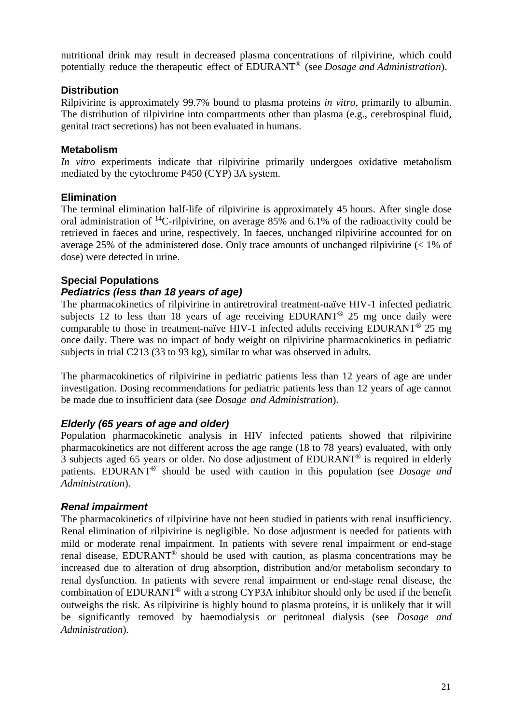nutritional drink may result in decreased plasma concentrations of rilpivirine, which could potentially reduce the therapeutic effect of EDURANT® (see *Dosage and Administration*).

#### **Distribution**

Rilpivirine is approximately 99.7% bound to plasma proteins *in vitro*, primarily to albumin. The distribution of rilpivirine into compartments other than plasma (e.g., cerebrospinal fluid, genital tract secretions) has not been evaluated in humans.

#### **Metabolism**

*In vitro* experiments indicate that rilpivirine primarily undergoes oxidative metabolism mediated by the cytochrome P450 (CYP) 3A system.

#### **Elimination**

The terminal elimination half-life of rilpivirine is approximately 45 hours. After single dose oral administration of  $^{14}$ C-rilpivirine, on average 85% and 6.1% of the radioactivity could be retrieved in faeces and urine, respectively. In faeces, unchanged rilpivirine accounted for on average 25% of the administered dose. Only trace amounts of unchanged rilpivirine (< 1% of dose) were detected in urine.

#### **Special Populations**

#### *Pediatrics (less than 18 years of age)*

The pharmacokinetics of rilpivirine in antiretroviral treatment-naïve HIV-1 infected pediatric subjects 12 to less than 18 years of age receiving EDURANT<sup>®</sup> 25 mg once daily were comparable to those in treatment-naïve HIV-1 infected adults receiving EDURANT® 25 mg once daily. There was no impact of body weight on rilpivirine pharmacokinetics in pediatric subjects in trial C213 (33 to 93 kg), similar to what was observed in adults.

The pharmacokinetics of rilpivirine in pediatric patients less than 12 years of age are under investigation. Dosing recommendations for pediatric patients less than 12 years of age cannot be made due to insufficient data (see *Dosage and Administration*).

#### *Elderly (65 years of age and older)*

Population pharmacokinetic analysis in HIV infected patients showed that rilpivirine pharmacokinetics are not different across the age range (18 to 78 years) evaluated, with only 3 subjects aged 65 years or older. No dose adjustment of EDURANT® is required in elderly patients. EDURANT ® should be used with caution in this population (see *Dosage and Administration*).

#### *Renal impairment*

The pharmacokinetics of rilpivirine have not been studied in patients with renal insufficiency. Renal elimination of rilpivirine is negligible. No dose adjustment is needed for patients with mild or moderate renal impairment. In patients with severe renal impairment or end-stage renal disease. EDURANT<sup>®</sup> should be used with caution, as plasma concentrations may be increased due to alteration of drug absorption, distribution and/or metabolism secondary to renal dysfunction. In patients with severe renal impairment or end-stage renal disease, the combination of EDURANT® with a strong CYP3A inhibitor should only be used if the benefit outweighs the risk. As rilpivirine is highly bound to plasma proteins, it is unlikely that it will be significantly removed by haemodialysis or peritoneal dialysis (see *Dosage and Administration*).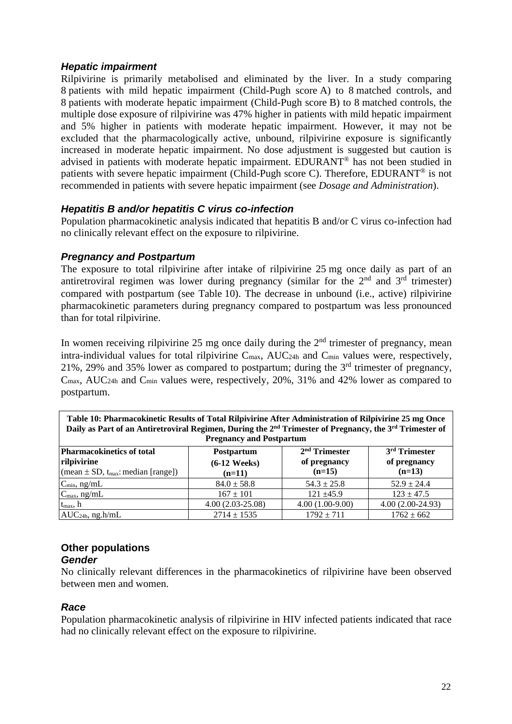#### *Hepatic impairment*

Rilpivirine is primarily metabolised and eliminated by the liver. In a study comparing 8 patients with mild hepatic impairment (Child-Pugh score A) to 8 matched controls, and 8 patients with moderate hepatic impairment (Child-Pugh score B) to 8 matched controls, the multiple dose exposure of rilpivirine was 47% higher in patients with mild hepatic impairment and 5% higher in patients with moderate hepatic impairment. However, it may not be excluded that the pharmacologically active, unbound, rilpivirine exposure is significantly increased in moderate hepatic impairment. No dose adjustment is suggested but caution is advised in patients with moderate hepatic impairment. EDURANT® has not been studied in patients with severe hepatic impairment (Child-Pugh score C). Therefore, EDURANT® is not recommended in patients with severe hepatic impairment (see *Dosage and Administration*).

#### *Hepatitis B and/or hepatitis C virus co-infection*

Population pharmacokinetic analysis indicated that hepatitis B and/or C virus co-infection had no clinically relevant effect on the exposure to rilpivirine.

#### *Pregnancy and Postpartum*

The exposure to total rilpivirine after intake of rilpivirine 25 mg once daily as part of an antiretroviral regimen was lower during pregnancy (similar for the  $2<sup>nd</sup>$  and  $3<sup>rd</sup>$  trimester) compared with postpartum (see Table 10). The decrease in unbound (i.e., active) rilpivirine pharmacokinetic parameters during pregnancy compared to postpartum was less pronounced than for total rilpivirine.

In women receiving rilpivirine 25 mg once daily during the  $2<sup>nd</sup>$  trimester of pregnancy, mean intra-individual values for total rilpivirine C<sub>max</sub>, AUC<sub>24h</sub> and C<sub>min</sub> values were, respectively, 21%, 29% and 35% lower as compared to postpartum; during the 3rd trimester of pregnancy, Cmax, AUC24h and Cmin values were, respectively, 20%, 31% and 42% lower as compared to postpartum.

| Table To, I hat macokinence results of Total Kuptvirine Arter Auministration of Kuptvirine 25 ing Once<br>Daily as Part of an Antiretroviral Regimen, During the $2nd$ Trimester of Pregnancy, the $3rd$ Trimester of<br><b>Pregnancy and Postpartum</b> |                                                 |                                             |                                                       |  |  |  |  |
|----------------------------------------------------------------------------------------------------------------------------------------------------------------------------------------------------------------------------------------------------------|-------------------------------------------------|---------------------------------------------|-------------------------------------------------------|--|--|--|--|
| <b>Pharmacokinetics of total</b><br>rilpivirine<br>(mean $\pm$ SD, t <sub>max</sub> : median [range])                                                                                                                                                    | <b>Postpartum</b><br>$(6-12$ Weeks)<br>$(n=11)$ | $2nd$ Trimester<br>of pregnancy<br>$(n=15)$ | 3 <sup>rd</sup> Trimester<br>of pregnancy<br>$(n=13)$ |  |  |  |  |
| $C_{min}$ , ng/mL                                                                                                                                                                                                                                        | $84.0 \pm 58.8$                                 | $54.3 \pm 25.8$                             | $52.9 \pm 24.4$                                       |  |  |  |  |
| $C_{\text{max}}$ , ng/mL                                                                                                                                                                                                                                 | $167 \pm 101$                                   | $121 \pm 45.9$                              | $123 \pm 47.5$                                        |  |  |  |  |
| $t_{max}$ , h                                                                                                                                                                                                                                            | $4.00(2.03-25.08)$                              | $4.00(1.00-9.00)$                           | $4.00(2.00-24.93)$                                    |  |  |  |  |
| $AUC24h$ , ng.h/mL                                                                                                                                                                                                                                       | $2714 \pm 1535$                                 | $1792 \pm 711$                              | $1762 \pm 662$                                        |  |  |  |  |

# **Table 10: Pharmacokinetic Results of Total Rilpivirine After Administration of Rilpivirine 25 mg Once**

#### **Other populations**

#### *Gender*

No clinically relevant differences in the pharmacokinetics of rilpivirine have been observed between men and women.

#### *Race*

Population pharmacokinetic analysis of rilpivirine in HIV infected patients indicated that race had no clinically relevant effect on the exposure to rilpivirine.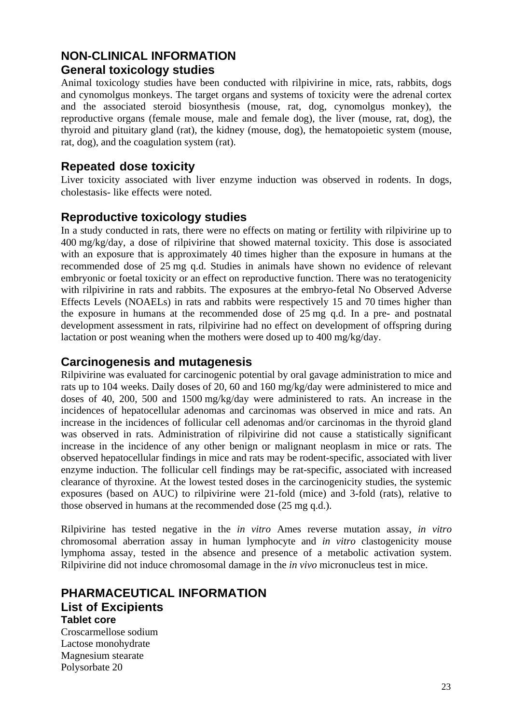# **NON-CLINICAL INFORMATION General toxicology studies**

Animal toxicology studies have been conducted with rilpivirine in mice, rats, rabbits, dogs and cynomolgus monkeys. The target organs and systems of toxicity were the adrenal cortex and the associated steroid biosynthesis (mouse, rat, dog, cynomolgus monkey), the reproductive organs (female mouse, male and female dog), the liver (mouse, rat, dog), the thyroid and pituitary gland (rat), the kidney (mouse, dog), the hematopoietic system (mouse, rat, dog), and the coagulation system (rat).

# **Repeated dose toxicity**

Liver toxicity associated with liver enzyme induction was observed in rodents. In dogs, cholestasis- like effects were noted.

# **Reproductive toxicology studies**

In a study conducted in rats, there were no effects on mating or fertility with rilpivirine up to 400 mg/kg/day, a dose of rilpivirine that showed maternal toxicity. This dose is associated with an exposure that is approximately 40 times higher than the exposure in humans at the recommended dose of 25 mg q.d. Studies in animals have shown no evidence of relevant embryonic or foetal toxicity or an effect on reproductive function. There was no teratogenicity with rilpivirine in rats and rabbits. The exposures at the embryo-fetal No Observed Adverse Effects Levels (NOAELs) in rats and rabbits were respectively 15 and 70 times higher than the exposure in humans at the recommended dose of 25 mg q.d. In a pre- and postnatal development assessment in rats, rilpivirine had no effect on development of offspring during lactation or post weaning when the mothers were dosed up to 400 mg/kg/day.

#### **Carcinogenesis and mutagenesis**

Rilpivirine was evaluated for carcinogenic potential by oral gavage administration to mice and rats up to 104 weeks. Daily doses of 20, 60 and 160 mg/kg/day were administered to mice and doses of 40, 200, 500 and 1500 mg/kg/day were administered to rats. An increase in the incidences of hepatocellular adenomas and carcinomas was observed in mice and rats. An increase in the incidences of follicular cell adenomas and/or carcinomas in the thyroid gland was observed in rats. Administration of rilpivirine did not cause a statistically significant increase in the incidence of any other benign or malignant neoplasm in mice or rats. The observed hepatocellular findings in mice and rats may be rodent-specific, associated with liver enzyme induction. The follicular cell findings may be rat-specific, associated with increased clearance of thyroxine. At the lowest tested doses in the carcinogenicity studies, the systemic exposures (based on AUC) to rilpivirine were 21-fold (mice) and 3-fold (rats), relative to those observed in humans at the recommended dose (25 mg q.d.).

Rilpivirine has tested negative in the *in vitro* Ames reverse mutation assay, *in vitro* chromosomal aberration assay in human lymphocyte and *in vitro* clastogenicity mouse lymphoma assay, tested in the absence and presence of a metabolic activation system. Rilpivirine did not induce chromosomal damage in the *in vivo* micronucleus test in mice.

#### **PHARMACEUTICAL INFORMATION List of Excipients Tablet core**

Croscarmellose sodium Lactose monohydrate Magnesium stearate Polysorbate 20